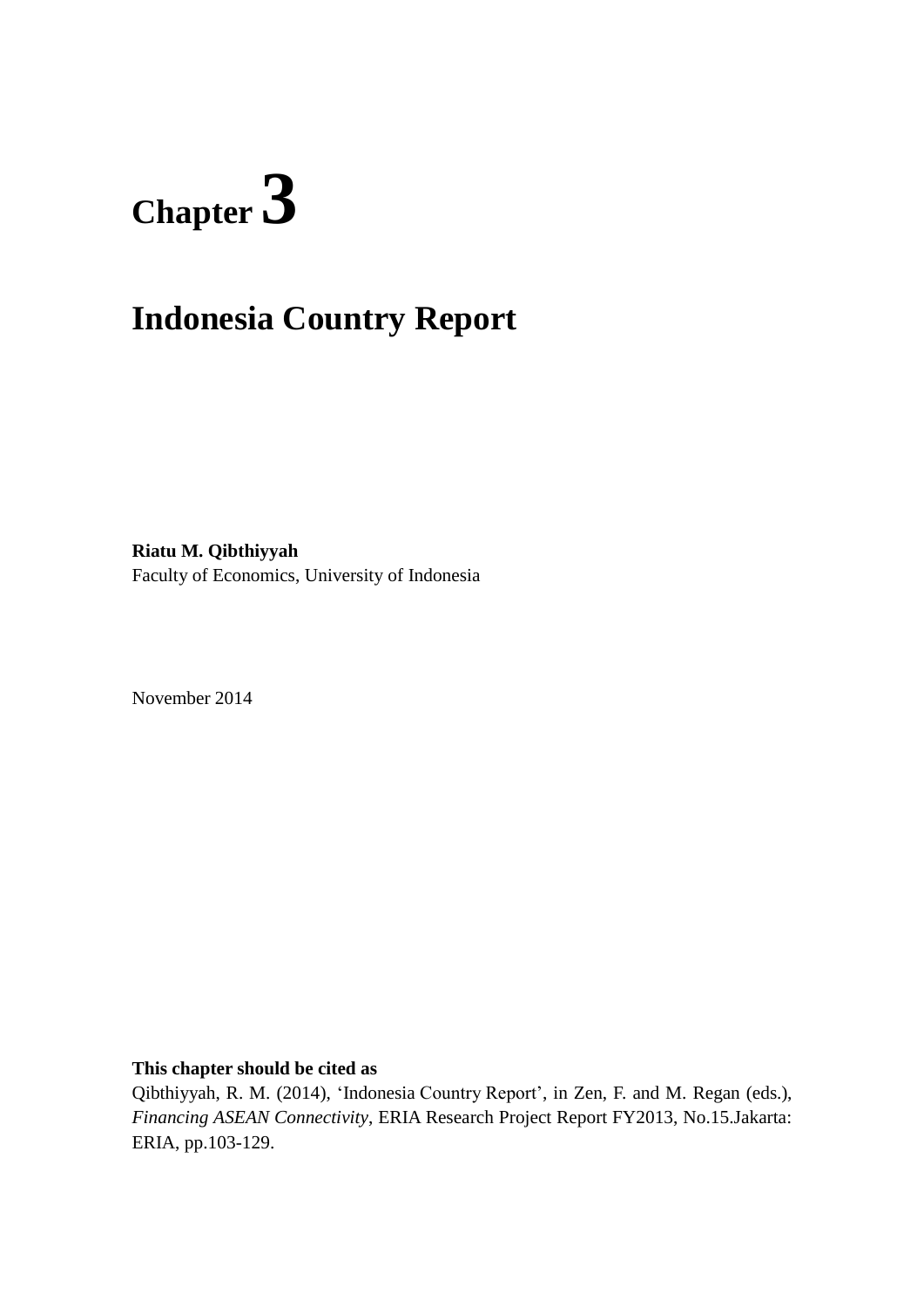# **Chapter 3**

# **Indonesia Country Report**

**Riatu M. Qibthiyyah** Faculty of Economics, University of Indonesia

November 2014

**This chapter should be cited as**

Qibthiyyah, R. M. (2014), 'Indonesia Country Report', in Zen, F. and M. Regan (eds.), *Financing ASEAN Connectivity*, ERIA Research Project Report FY2013, No.15.Jakarta: ERIA, pp.103-129.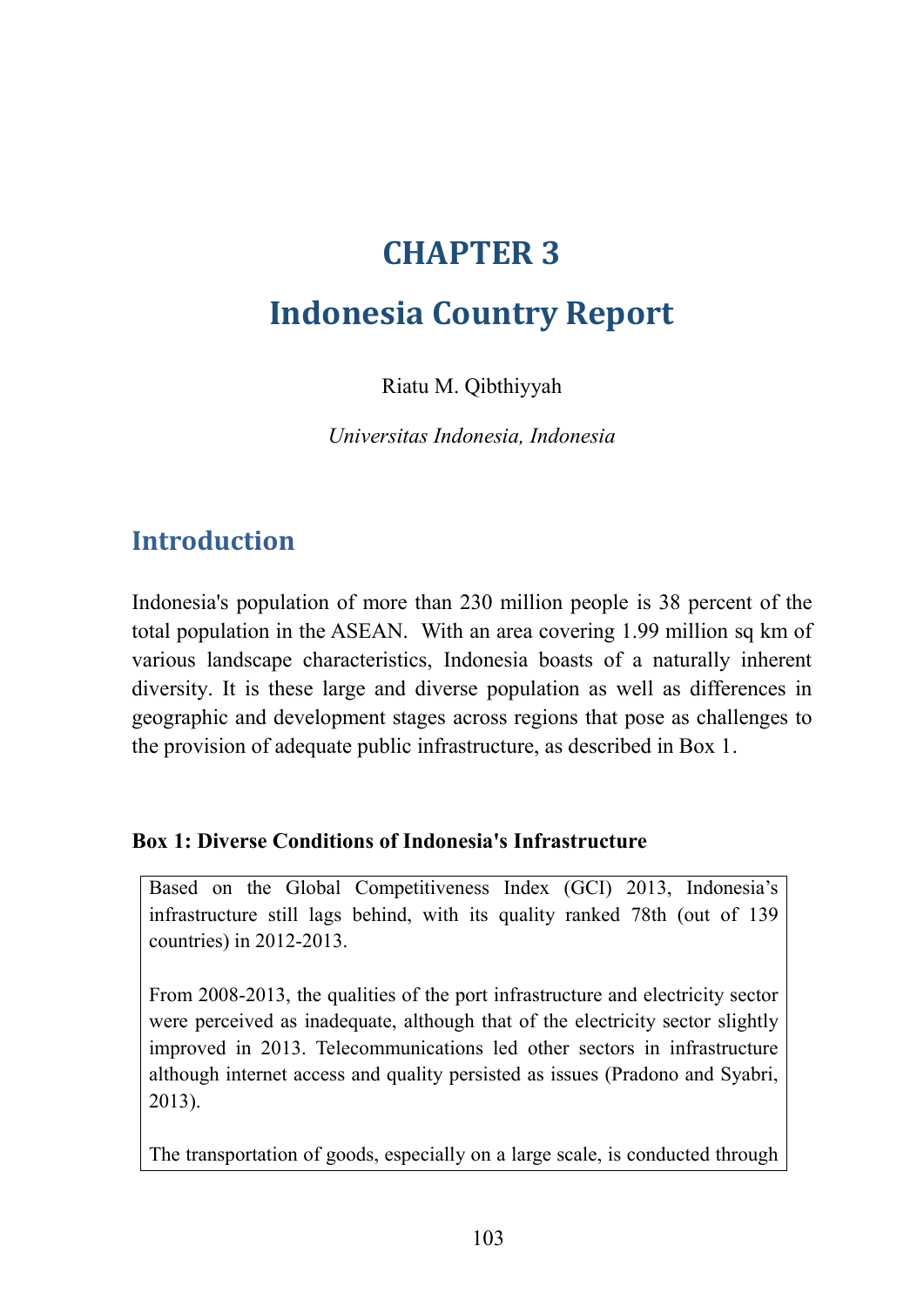# **CHAPTER 3**

## **Indonesia Country Report**

Riatu M. Qibthiyyah

*Universitas Indonesia, Indonesia*

## **Introduction**

Indonesia's population of more than 230 million people is 38 percent of the total population in the ASEAN. With an area covering 1.99 million sq km of various landscape characteristics, Indonesia boasts of a naturally inherent diversity. It is these large and diverse population as well as differences in geographic and development stages across regions that pose as challenges to the provision of adequate public infrastructure, as described in Box 1.

#### **Box 1: Diverse Conditions of Indonesia's Infrastructure**

Based on the Global Competitiveness Index (GCI) 2013, Indonesia's infrastructure still lags behind, with its quality ranked 78th (out of 139 countries) in 2012-2013.

From 2008-2013, the qualities of the port infrastructure and electricity sector were perceived as inadequate, although that of the electricity sector slightly improved in 2013. Telecommunications led other sectors in infrastructure although internet access and quality persisted as issues (Pradono and Syabri, 2013).

The transportation of goods, especially on a large scale, is conducted through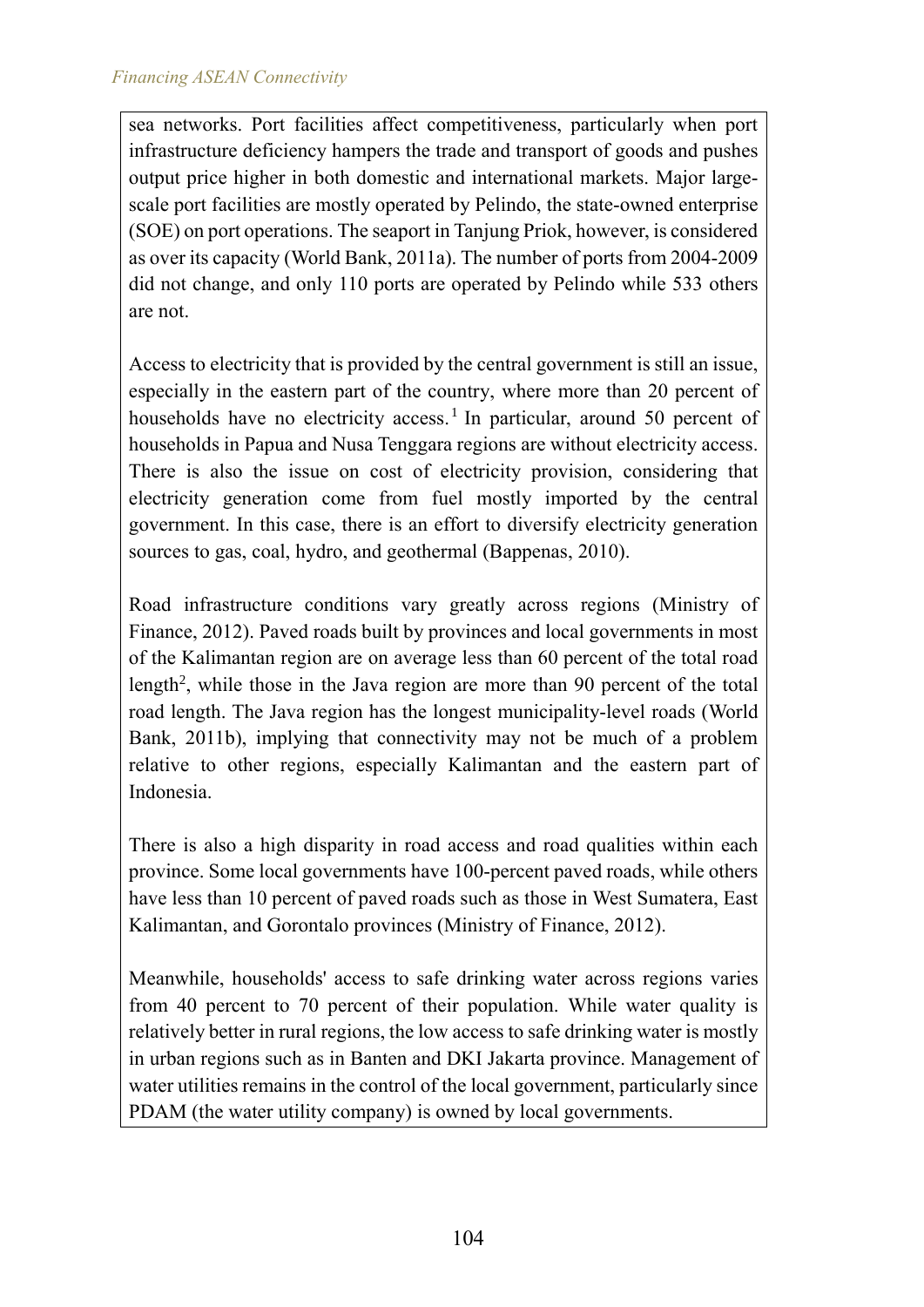sea networks. Port facilities affect competitiveness, particularly when port infrastructure deficiency hampers the trade and transport of goods and pushes output price higher in both domestic and international markets. Major largescale port facilities are mostly operated by Pelindo, the state-owned enterprise (SOE) on port operations. The seaport in Tanjung Priok, however, is considered as over its capacity (World Bank, 2011a). The number of ports from 2004-2009 did not change, and only 110 ports are operated by Pelindo while 533 others are not.

Access to electricity that is provided by the central government is still an issue, especially in the eastern part of the country, where more than 20 percent of households have no electricity access.<sup>1</sup> In particular, around 50 percent of households in Papua and Nusa Tenggara regions are without electricity access. There is also the issue on cost of electricity provision, considering that electricity generation come from fuel mostly imported by the central government. In this case, there is an effort to diversify electricity generation sources to gas, coal, hydro, and geothermal (Bappenas, 2010).

Road infrastructure conditions vary greatly across regions (Ministry of Finance, 2012). Paved roads built by provinces and local governments in most of the Kalimantan region are on average less than 60 percent of the total road length<sup>2</sup>, while those in the Java region are more than 90 percent of the total road length. The Java region has the longest municipality-level roads (World Bank, 2011b), implying that connectivity may not be much of a problem relative to other regions, especially Kalimantan and the eastern part of Indonesia.

There is also a high disparity in road access and road qualities within each province. Some local governments have 100-percent paved roads, while others have less than 10 percent of paved roads such as those in West Sumatera, East Kalimantan, and Gorontalo provinces (Ministry of Finance, 2012).

Meanwhile, households' access to safe drinking water across regions varies from 40 percent to 70 percent of their population. While water quality is relatively better in rural regions, the low access to safe drinking water is mostly in urban regions such as in Banten and DKI Jakarta province. Management of water utilities remains in the control of the local government, particularly since PDAM (the water utility company) is owned by local governments.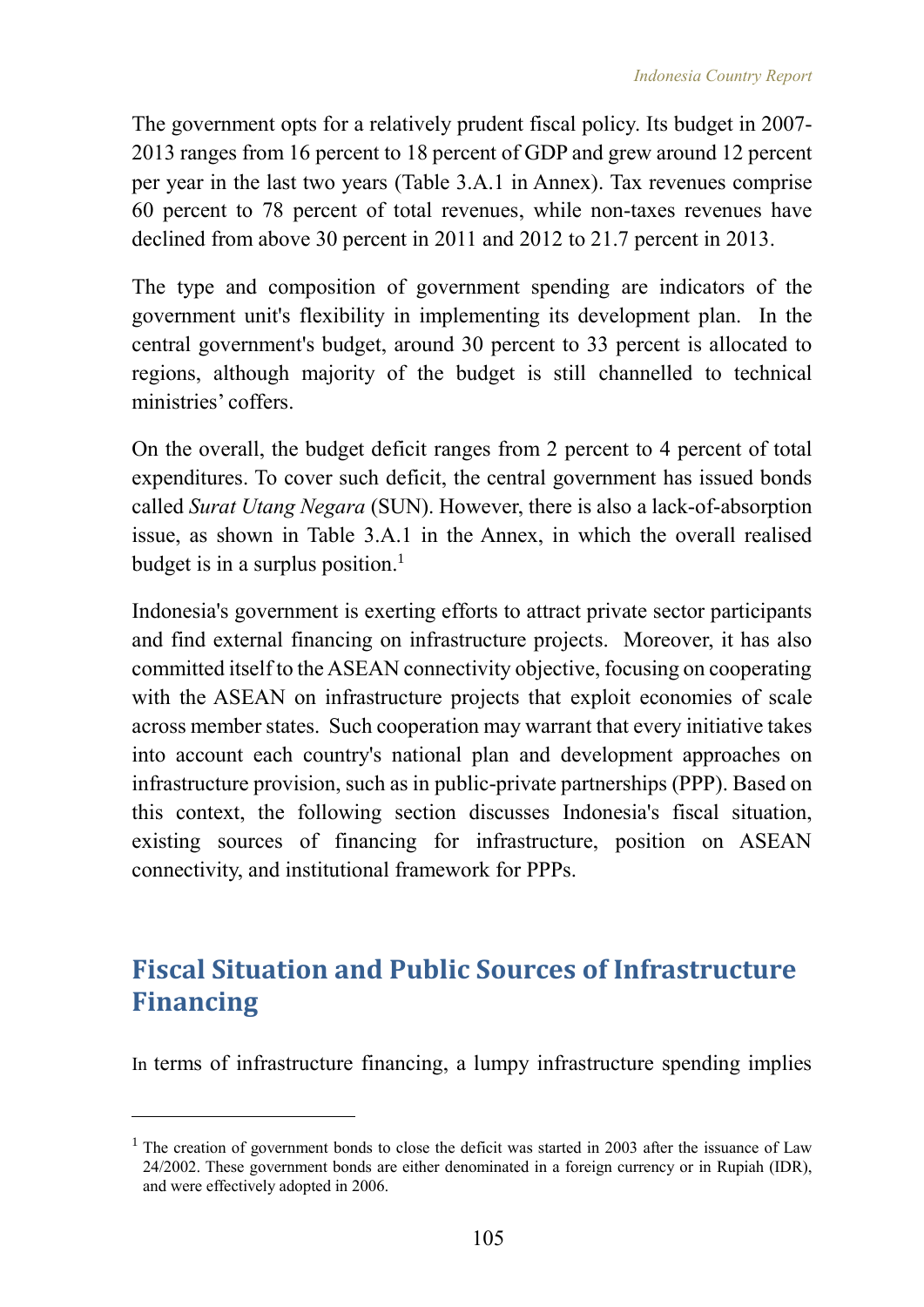The government opts for a relatively prudent fiscal policy. Its budget in 2007- 2013 ranges from 16 percent to 18 percent of GDP and grew around 12 percent per year in the last two years (Table 3.A.1 in Annex). Tax revenues comprise 60 percent to 78 percent of total revenues, while non-taxes revenues have declined from above 30 percent in 2011 and 2012 to 21.7 percent in 2013.

The type and composition of government spending are indicators of the government unit's flexibility in implementing its development plan. In the central government's budget, around 30 percent to 33 percent is allocated to regions, although majority of the budget is still channelled to technical ministries' coffers.

On the overall, the budget deficit ranges from 2 percent to 4 percent of total expenditures. To cover such deficit, the central government has issued bonds called *Surat Utang Negara* (SUN). However, there is also a lack-of-absorption issue, as shown in Table 3.A.1 in the Annex, in which the overall realised budget is in a surplus position.<sup>1</sup>

Indonesia's government is exerting efforts to attract private sector participants and find external financing on infrastructure projects. Moreover, it has also committed itself to the ASEAN connectivity objective, focusing on cooperating with the ASEAN on infrastructure projects that exploit economies of scale across member states. Such cooperation may warrant that every initiative takes into account each country's national plan and development approaches on infrastructure provision, such as in public-private partnerships (PPP). Based on this context, the following section discusses Indonesia's fiscal situation, existing sources of financing for infrastructure, position on ASEAN connectivity, and institutional framework for PPPs.

## **Fiscal Situation and Public Sources of Infrastructure Financing**

In terms of infrastructure financing, a lumpy infrastructure spending implies

 $\overline{a}$ 

 $1$  The creation of government bonds to close the deficit was started in 2003 after the issuance of Law 24/2002. These government bonds are either denominated in a foreign currency or in Rupiah (IDR), and were effectively adopted in 2006.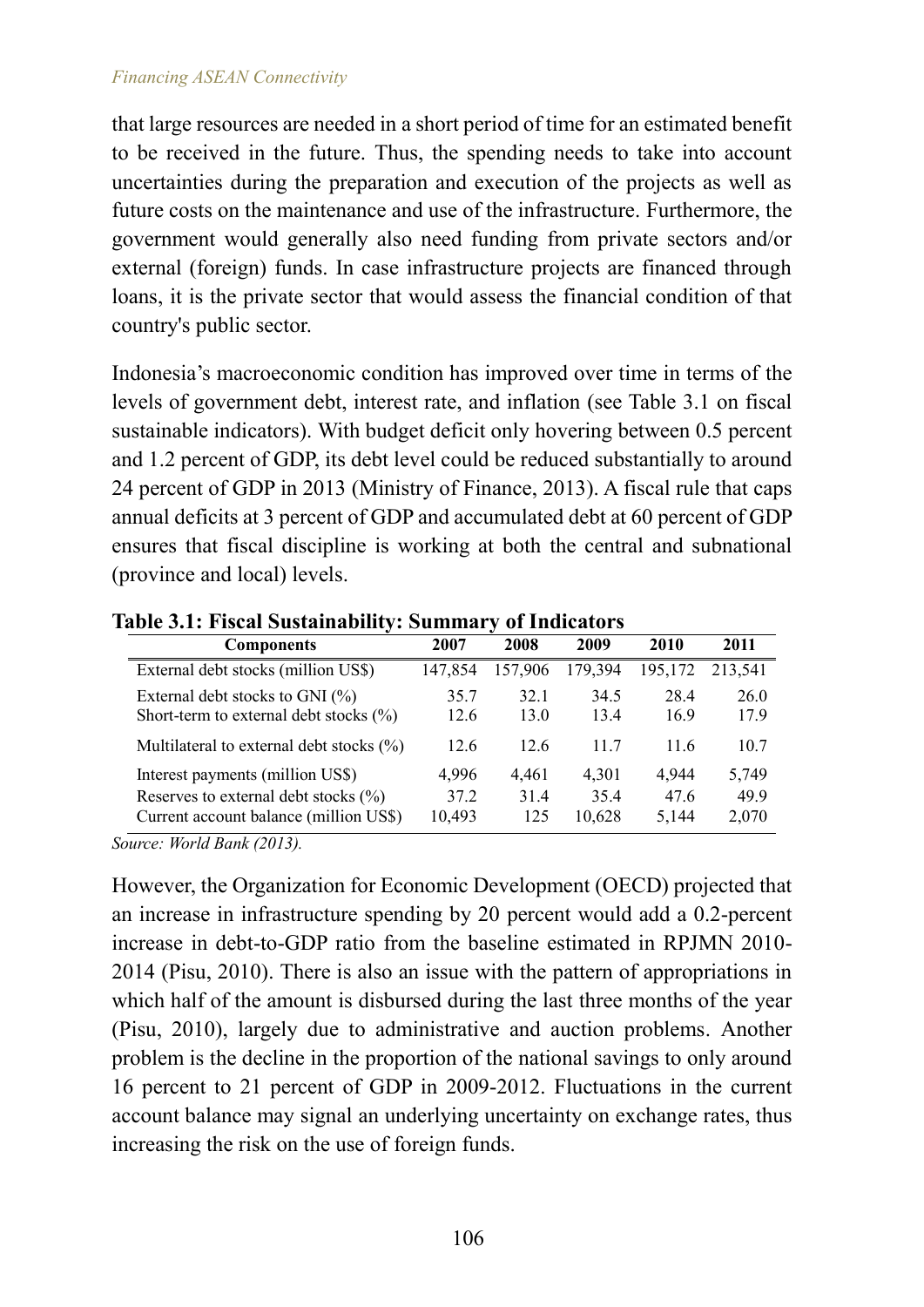#### *Financing ASEAN Connectivity*

that large resources are needed in a short period of time for an estimated benefit to be received in the future. Thus, the spending needs to take into account uncertainties during the preparation and execution of the projects as well as future costs on the maintenance and use of the infrastructure. Furthermore, the government would generally also need funding from private sectors and/or external (foreign) funds. In case infrastructure projects are financed through loans, it is the private sector that would assess the financial condition of that country's public sector.

Indonesia's macroeconomic condition has improved over time in terms of the levels of government debt, interest rate, and inflation (see Table 3.1 on fiscal sustainable indicators). With budget deficit only hovering between 0.5 percent and 1.2 percent of GDP, its debt level could be reduced substantially to around 24 percent of GDP in 2013 (Ministry of Finance, 2013). A fiscal rule that caps annual deficits at 3 percent of GDP and accumulated debt at 60 percent of GDP ensures that fiscal discipline is working at both the central and subnational (province and local) levels.

| <b>Components</b>                                                                                                      | 2007                    | 2008                | 2009                    | 2010                   | 2011                   |
|------------------------------------------------------------------------------------------------------------------------|-------------------------|---------------------|-------------------------|------------------------|------------------------|
| External debt stocks (million US\$)                                                                                    | 147,854                 | 157,906             | 179,394                 | 195,172                | 213,541                |
| External debt stocks to GNI $(\% )$<br>Short-term to external debt stocks (%)                                          | 35.7<br>12.6            | 32.1<br>13.0        | 34.5<br>13.4            | 28.4<br>16.9           | 26.0<br>17.9           |
| Multilateral to external debt stocks $(\% )$                                                                           | 12.6                    | 12.6                | 11.7                    | 11.6                   | 10.7                   |
| Interest payments (million US\$)<br>Reserves to external debt stocks $(\% )$<br>Current account balance (million US\$) | 4,996<br>37.2<br>10,493 | 4,461<br>314<br>125 | 4,301<br>35.4<br>10,628 | 4,944<br>47.6<br>5,144 | 5,749<br>49.9<br>2,070 |

**Table 3.1: Fiscal Sustainability: Summary of Indicators**

*Source: World Bank (2013).*

However, the Organization for Economic Development (OECD) projected that an increase in infrastructure spending by 20 percent would add a 0.2-percent increase in debt-to-GDP ratio from the baseline estimated in RPJMN 2010- 2014 (Pisu, 2010). There is also an issue with the pattern of appropriations in which half of the amount is disbursed during the last three months of the year (Pisu, 2010), largely due to administrative and auction problems. Another problem is the decline in the proportion of the national savings to only around 16 percent to 21 percent of GDP in 2009-2012. Fluctuations in the current account balance may signal an underlying uncertainty on exchange rates, thus increasing the risk on the use of foreign funds.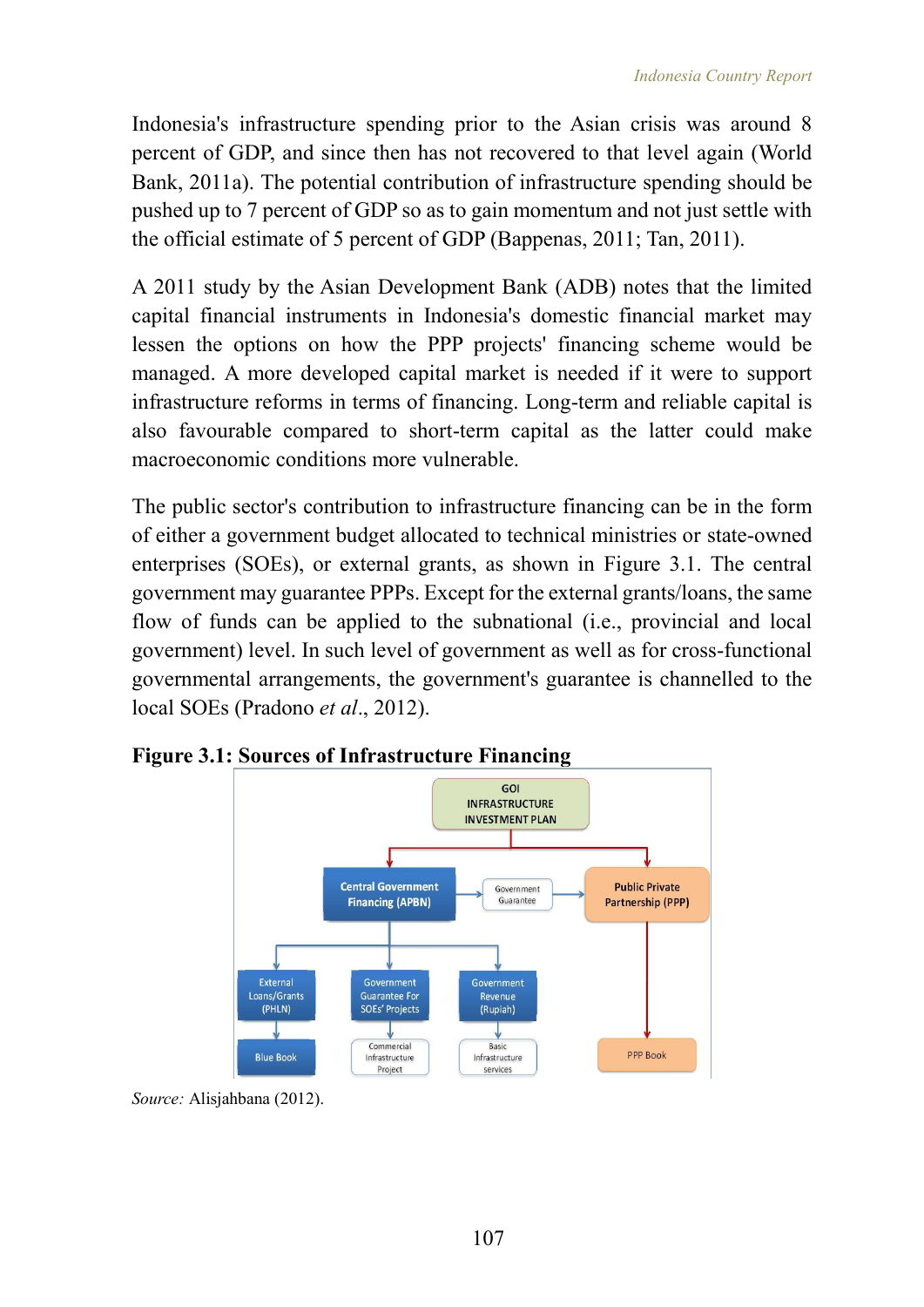Indonesia's infrastructure spending prior to the Asian crisis was around 8 percent of GDP, and since then has not recovered to that level again (World Bank, 2011a). The potential contribution of infrastructure spending should be pushed up to 7 percent of GDP so as to gain momentum and not just settle with the official estimate of 5 percent of GDP (Bappenas, 2011; Tan, 2011).

A 2011 study by the Asian Development Bank (ADB) notes that the limited capital financial instruments in Indonesia's domestic financial market may lessen the options on how the PPP projects' financing scheme would be managed. A more developed capital market is needed if it were to support infrastructure reforms in terms of financing. Long-term and reliable capital is also favourable compared to short-term capital as the latter could make macroeconomic conditions more vulnerable.

The public sector's contribution to infrastructure financing can be in the form of either a government budget allocated to technical ministries or state-owned enterprises (SOEs), or external grants, as shown in Figure 3.1. The central government may guarantee PPPs. Except for the external grants/loans, the same flow of funds can be applied to the subnational (i.e., provincial and local government) level. In such level of government as well as for cross-functional governmental arrangements, the government's guarantee is channelled to the local SOEs (Pradono *et al*., 2012).



**Figure 3.1: Sources of Infrastructure Financing**

*Source:* Alisjahbana (2012).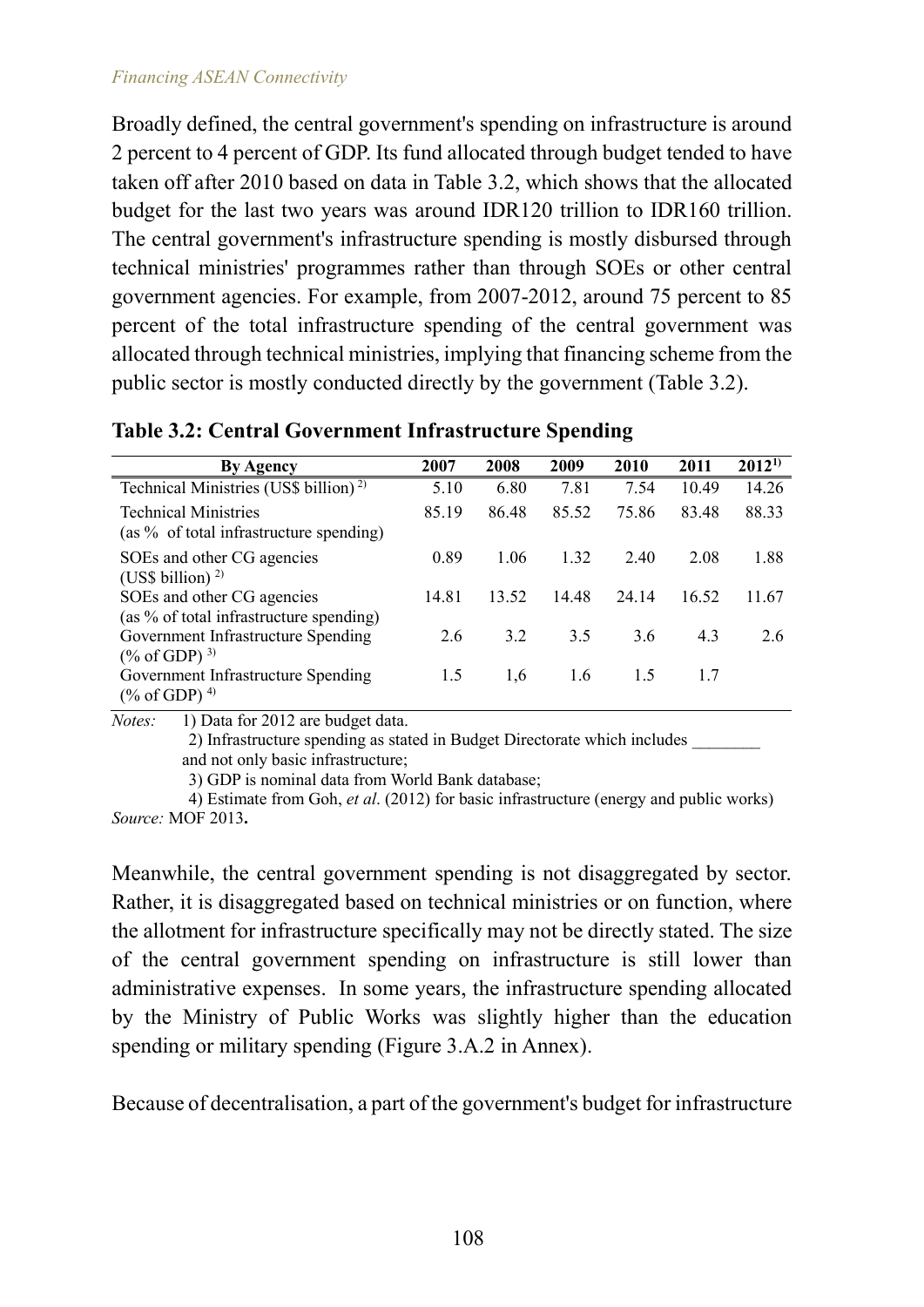Broadly defined, the central government's spending on infrastructure is around 2 percent to 4 percent of GDP. Its fund allocated through budget tended to have taken off after 2010 based on data in Table 3.2, which shows that the allocated budget for the last two years was around IDR120 trillion to IDR160 trillion. The central government's infrastructure spending is mostly disbursed through technical ministries' programmes rather than through SOEs or other central government agencies. For example, from 2007-2012, around 75 percent to 85 percent of the total infrastructure spending of the central government was allocated through technical ministries, implying that financing scheme from the public sector is mostly conducted directly by the government (Table 3.2).

| <b>By Agency</b>                                                          | 2007  | 2008  | 2009  | 2010  | 2011  | $2012^{1}$ |
|---------------------------------------------------------------------------|-------|-------|-------|-------|-------|------------|
| Technical Ministries (US\$ billion) <sup>2)</sup>                         | 5.10  | 6.80  | 7.81  | 7.54  | 10.49 | 14.26      |
| <b>Technical Ministries</b><br>(as % of total infrastructure spending)    | 85.19 | 86.48 | 85.52 | 75.86 | 83.48 | 88.33      |
| SOEs and other CG agencies<br>(US\$ billion) $^{2}$                       | 0.89  | 1.06  | 1.32  | 2.40  | 2.08  | 1.88       |
| SOEs and other CG agencies<br>(as % of total infrastructure spending)     | 14.81 | 13.52 | 14.48 | 24 14 | 16.52 | 11.67      |
| Government Infrastructure Spending<br>$(\%$ of GDP) <sup>3)</sup>         | 2.6   | 3.2   | 3.5   | 3.6   | 4.3   | 2.6        |
| Government Infrastructure Spending<br>$(\% \text{ of GDP})$ <sup>4)</sup> | 1.5   | 1,6   | 1.6   | 1.5   | 17    |            |

**Table 3.2: Central Government Infrastructure Spending**

*Notes:* 1) Data for 2012 are budget data.

2) Infrastructure spending as stated in Budget Directorate which includes \_\_\_\_\_\_\_\_ and not only basic infrastructure;

3) GDP is nominal data from World Bank database;

4) Estimate from Goh, *et al*. (2012) for basic infrastructure (energy and public works) *Source:* MOF 2013**.**

Meanwhile, the central government spending is not disaggregated by sector. Rather, it is disaggregated based on technical ministries or on function, where the allotment for infrastructure specifically may not be directly stated. The size of the central government spending on infrastructure is still lower than administrative expenses. In some years, the infrastructure spending allocated by the Ministry of Public Works was slightly higher than the education spending or military spending (Figure 3.A.2 in Annex).

Because of decentralisation, a part of the government's budget for infrastructure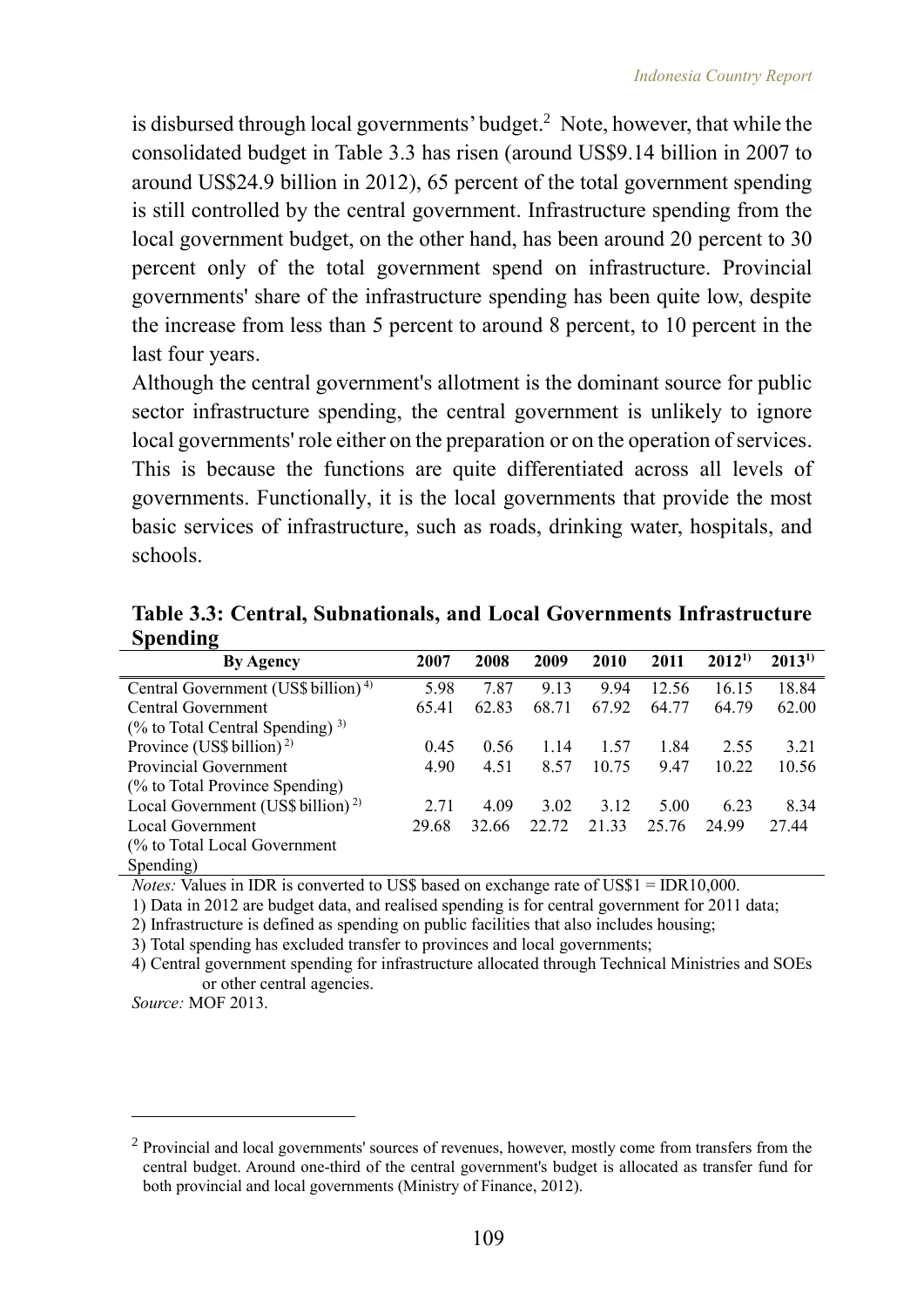is disbursed through local governments' budget.<sup>2</sup> Note, however, that while the consolidated budget in Table 3.3 has risen (around US\$9.14 billion in 2007 to around US\$24.9 billion in 2012), 65 percent of the total government spending is still controlled by the central government. Infrastructure spending from the local government budget, on the other hand, has been around 20 percent to 30 percent only of the total government spend on infrastructure. Provincial governments' share of the infrastructure spending has been quite low, despite the increase from less than 5 percent to around 8 percent, to 10 percent in the last four years.

Although the central government's allotment is the dominant source for public sector infrastructure spending, the central government is unlikely to ignore local governments' role either on the preparation or on the operation of services. This is because the functions are quite differentiated across all levels of governments. Functionally, it is the local governments that provide the most basic services of infrastructure, such as roads, drinking water, hospitals, and schools.

**Table 3.3: Central, Subnationals, and Local Governments Infrastructure Spending**

| <b>By Agency</b>                                | 2007  | 2008  | 2009  | 2010  | 2011  | $2012^{1}$ | $2013^{1}$ |
|-------------------------------------------------|-------|-------|-------|-------|-------|------------|------------|
| Central Government (US\$ billion) <sup>4)</sup> | 5.98  | 7.87  | 9.13  | 9.94  | 12.56 | 16.15      | 18.84      |
| Central Government                              | 65.41 | 62.83 | 68.71 | 67.92 | 64.77 | 64.79      | 62.00      |
| $(\%$ to Total Central Spending) <sup>3)</sup>  |       |       |       |       |       |            |            |
| Province (US\$ billion) <sup>2)</sup>           | 0.45  | 0.56  | 1.14  | 1.57  | 1.84  | 2.55       | 3.21       |
| <b>Provincial Government</b>                    | 4.90  | 4.51  | 8.57  | 10.75 | 9.47  | 10.22      | 10.56      |
| (% to Total Province Spending)                  |       |       |       |       |       |            |            |
| Local Government (US\$ billion) <sup>2)</sup>   | 2.71  | 4.09  | 3.02  | 3.12  | 5.00  | 6.23       | 8.34       |
| Local Government                                | 29.68 | 32.66 | 22 72 | 21.33 | 25.76 | 24 99      | 27.44      |
| (% to Total Local Government)                   |       |       |       |       |       |            |            |
| Spending)                                       |       |       |       |       |       |            |            |

*Notes:* Values in IDR is converted to US\$ based on exchange rate of US\$1 = IDR10,000.

1) Data in 2012 are budget data, and realised spending is for central government for 2011 data;

2) Infrastructure is defined as spending on public facilities that also includes housing;

3) Total spending has excluded transfer to provinces and local governments;

4) Central government spending for infrastructure allocated through Technical Ministries and SOEs or other central agencies.

*Source:* MOF 2013.

 $\overline{a}$ 

<sup>&</sup>lt;sup>2</sup> Provincial and local governments' sources of revenues, however, mostly come from transfers from the central budget. Around one-third of the central government's budget is allocated as transfer fund for both provincial and local governments (Ministry of Finance, 2012).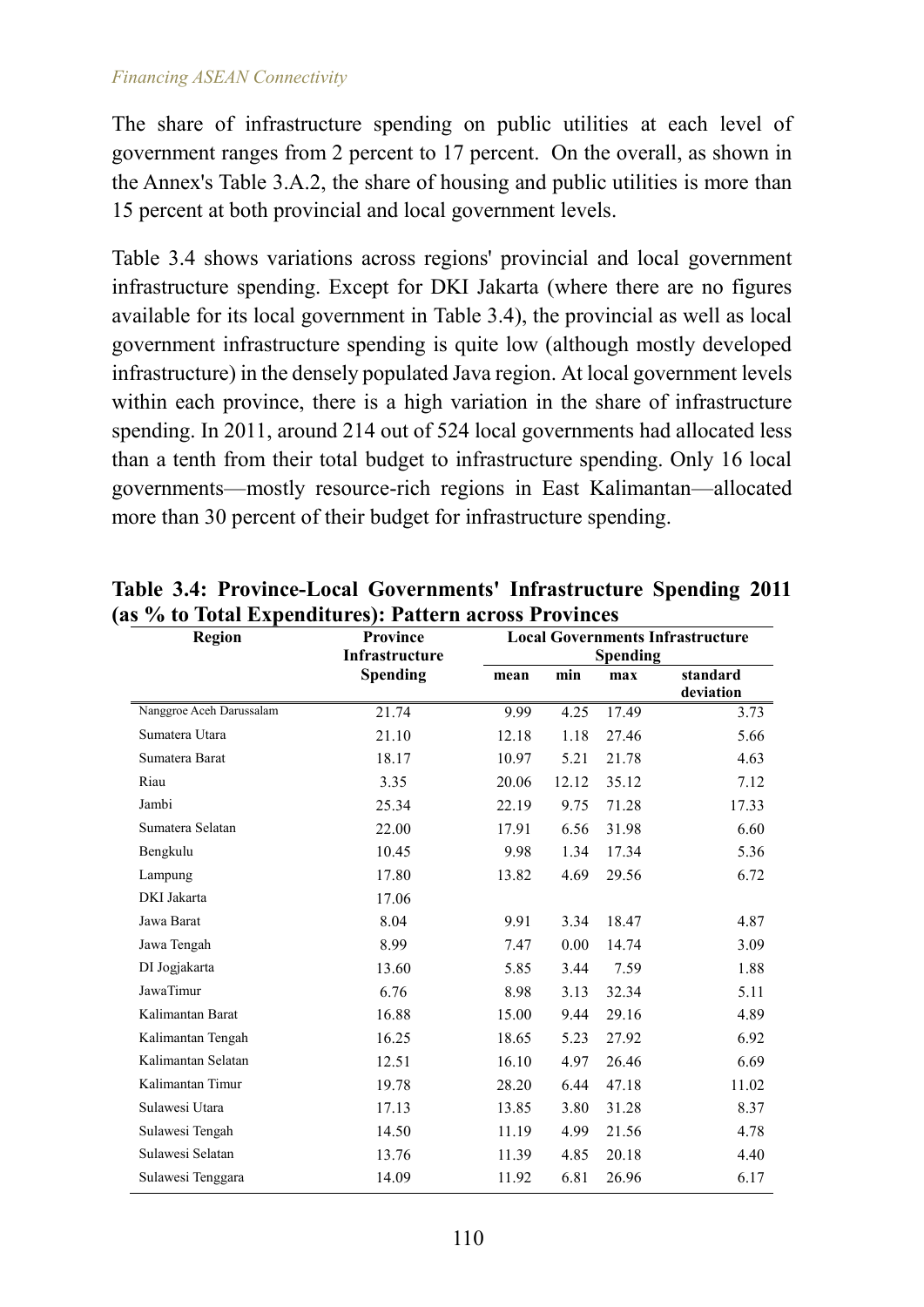The share of infrastructure spending on public utilities at each level of government ranges from 2 percent to 17 percent. On the overall, as shown in the Annex's Table 3.A.2, the share of housing and public utilities is more than 15 percent at both provincial and local government levels.

Table 3.4 shows variations across regions' provincial and local government infrastructure spending. Except for DKI Jakarta (where there are no figures available for its local government in Table 3.4), the provincial as well as local government infrastructure spending is quite low (although mostly developed infrastructure) in the densely populated Java region. At local government levels within each province, there is a high variation in the share of infrastructure spending. In 2011, around 214 out of 524 local governments had allocated less than a tenth from their total budget to infrastructure spending. Only 16 local governments—mostly resource-rich regions in East Kalimantan—allocated more than 30 percent of their budget for infrastructure spending.

| <b>Region</b>            | Province        | <b>Local Governments Infrastructure</b> |       |                 |                       |
|--------------------------|-----------------|-----------------------------------------|-------|-----------------|-----------------------|
|                          | Infrastructure  |                                         |       | <b>Spending</b> |                       |
|                          | <b>Spending</b> | mean                                    | min   | max             | standard<br>deviation |
| Nanggroe Aceh Darussalam | 21.74           | 9.99                                    | 4.25  | 17.49           | 3.73                  |
| Sumatera Utara           | 21.10           | 12.18                                   | 1.18  | 27.46           | 5.66                  |
| Sumatera Barat           | 18.17           | 10.97                                   | 5.21  | 21.78           | 4.63                  |
| Riau                     | 3.35            | 20.06                                   | 12.12 | 35.12           | 7.12                  |
| Jambi                    | 25.34           | 22.19                                   | 9.75  | 71.28           | 17.33                 |
| Sumatera Selatan         | 22.00           | 17.91                                   | 6.56  | 31.98           | 6.60                  |
| Bengkulu                 | 10.45           | 9.98                                    | 1.34  | 17.34           | 5.36                  |
| Lampung                  | 17.80           | 13.82                                   | 4.69  | 29.56           | 6.72                  |
| DKI Jakarta              | 17.06           |                                         |       |                 |                       |
| Jawa Barat               | 8.04            | 9.91                                    | 3.34  | 18.47           | 4.87                  |
| Jawa Tengah              | 8.99            | 7.47                                    | 0.00  | 14.74           | 3.09                  |
| DI Jogjakarta            | 13.60           | 5.85                                    | 3.44  | 7.59            | 1.88                  |
| JawaTimur                | 6.76            | 8.98                                    | 3.13  | 32.34           | 5.11                  |
| Kalimantan Barat         | 16.88           | 15.00                                   | 9.44  | 29.16           | 4.89                  |
| Kalimantan Tengah        | 16.25           | 18.65                                   | 5.23  | 27.92           | 6.92                  |
| Kalimantan Selatan       | 12.51           | 16.10                                   | 4.97  | 26.46           | 6.69                  |
| Kalimantan Timur         | 19.78           | 28.20                                   | 6.44  | 47.18           | 11.02                 |
| Sulawesi Utara           | 17.13           | 13.85                                   | 3.80  | 31.28           | 8.37                  |
| Sulawesi Tengah          | 14.50           | 11.19                                   | 4.99  | 21.56           | 4.78                  |
| Sulawesi Selatan         | 13.76           | 11.39                                   | 4.85  | 20.18           | 4.40                  |
| Sulawesi Tenggara        | 14.09           | 11.92                                   | 6.81  | 26.96           | 6.17                  |

**Table 3.4: Province-Local Governments' Infrastructure Spending 2011 (as % to Total Expenditures): Pattern across Provinces**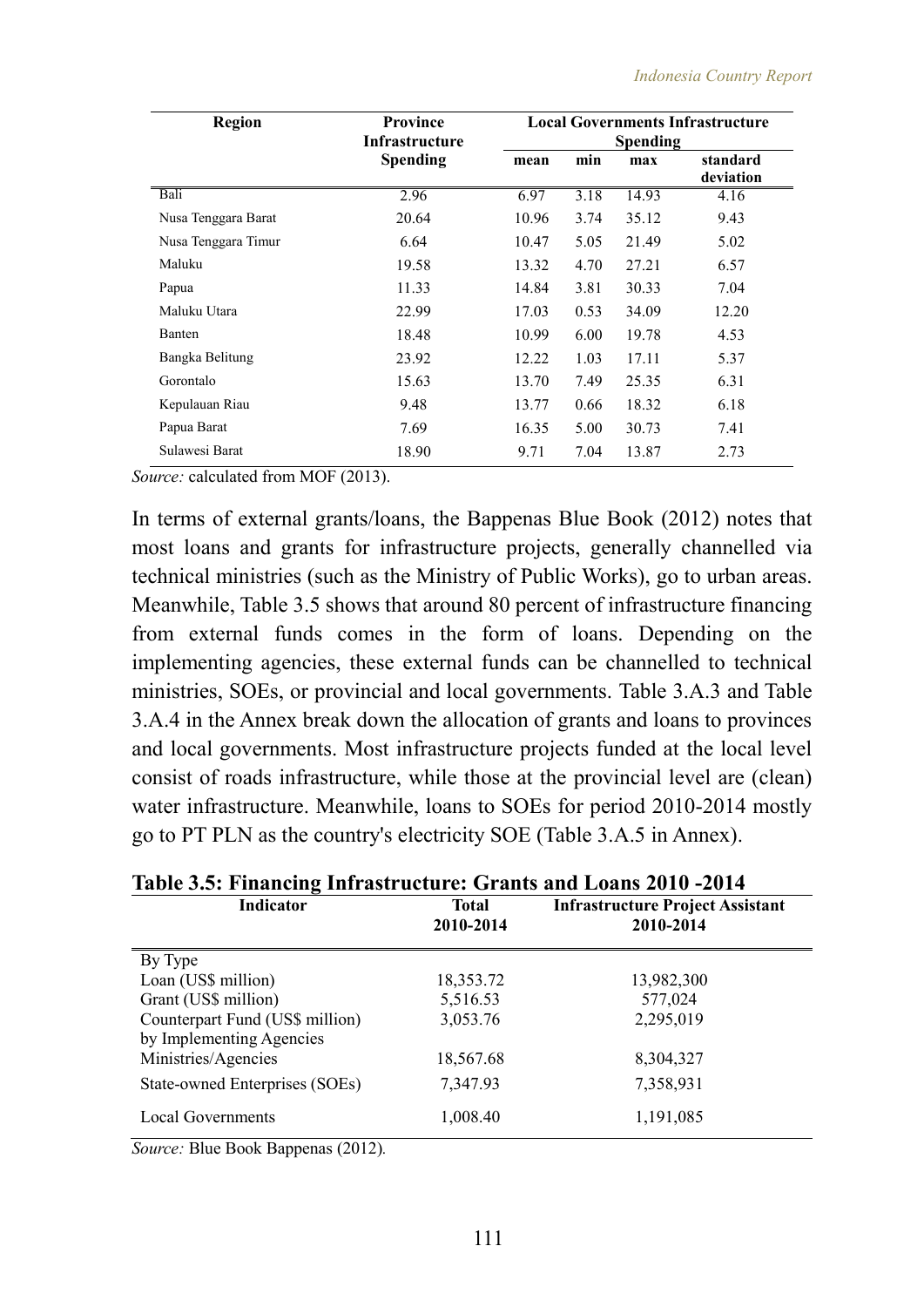| <b>Region</b>       | <b>Province</b><br><b>Infrastructure</b> |       |      | <b>Local Governments Infrastructure</b><br><b>Spending</b> |                       |  |
|---------------------|------------------------------------------|-------|------|------------------------------------------------------------|-----------------------|--|
|                     | <b>Spending</b>                          | mean  | min  | max                                                        | standard<br>deviation |  |
| Bali                | 2.96                                     | 6.97  | 3.18 | 14.93                                                      | 4.16                  |  |
| Nusa Tenggara Barat | 20.64                                    | 10.96 | 3.74 | 35.12                                                      | 9.43                  |  |
| Nusa Tenggara Timur | 6.64                                     | 10.47 | 5.05 | 21.49                                                      | 5.02                  |  |
| Maluku              | 19.58                                    | 13.32 | 4.70 | 27.21                                                      | 6.57                  |  |
| Papua               | 11.33                                    | 14.84 | 3.81 | 30.33                                                      | 7.04                  |  |
| Maluku Utara        | 22.99                                    | 17.03 | 0.53 | 34.09                                                      | 12.20                 |  |
| Banten              | 18.48                                    | 10.99 | 6.00 | 19.78                                                      | 4.53                  |  |
| Bangka Belitung     | 23.92                                    | 12.22 | 1.03 | 17.11                                                      | 5.37                  |  |
| Gorontalo           | 15.63                                    | 13.70 | 7.49 | 25.35                                                      | 6.31                  |  |
| Kepulauan Riau      | 9.48                                     | 13.77 | 0.66 | 18.32                                                      | 6.18                  |  |
| Papua Barat         | 7.69                                     | 16.35 | 5.00 | 30.73                                                      | 7.41                  |  |
| Sulawesi Barat      | 18.90                                    | 9.71  | 7.04 | 13.87                                                      | 2.73                  |  |

*Source:* calculated from MOF (2013).

In terms of external grants/loans, the Bappenas Blue Book (2012) notes that most loans and grants for infrastructure projects, generally channelled via technical ministries (such as the Ministry of Public Works), go to urban areas. Meanwhile, Table 3.5 shows that around 80 percent of infrastructure financing from external funds comes in the form of loans. Depending on the implementing agencies, these external funds can be channelled to technical ministries, SOEs, or provincial and local governments. Table 3.A.3 and Table 3.A.4 in the Annex break down the allocation of grants and loans to provinces and local governments. Most infrastructure projects funded at the local level consist of roads infrastructure, while those at the provincial level are (clean) water infrastructure. Meanwhile, loans to SOEs for period 2010-2014 mostly go to PT PLN as the country's electricity SOE (Table 3.A.5 in Annex).

| Table 3.5: Financing Infrastructure: Grants and Loans 2010 -2014 |                           |                                                      |  |  |  |
|------------------------------------------------------------------|---------------------------|------------------------------------------------------|--|--|--|
| Indicator                                                        | <b>Total</b><br>2010-2014 | <b>Infrastructure Project Assistant</b><br>2010-2014 |  |  |  |
| By Type                                                          |                           |                                                      |  |  |  |
| Loan (US\$ million)                                              | 18,353.72                 | 13,982,300                                           |  |  |  |
| Grant (US\$ million)                                             | 5,516.53                  | 577,024                                              |  |  |  |
| Counterpart Fund (US\$ million)                                  | 3,053.76                  | 2,295,019                                            |  |  |  |
| by Implementing Agencies                                         |                           |                                                      |  |  |  |
| Ministries/Agencies                                              | 18,567.68                 | 8,304,327                                            |  |  |  |
| State-owned Enterprises (SOEs)                                   | 7,347.93                  | 7,358,931                                            |  |  |  |
| <b>Local Governments</b>                                         | 1,008.40                  | 1,191,085                                            |  |  |  |

*Source:* Blue Book Bappenas (2012)*.*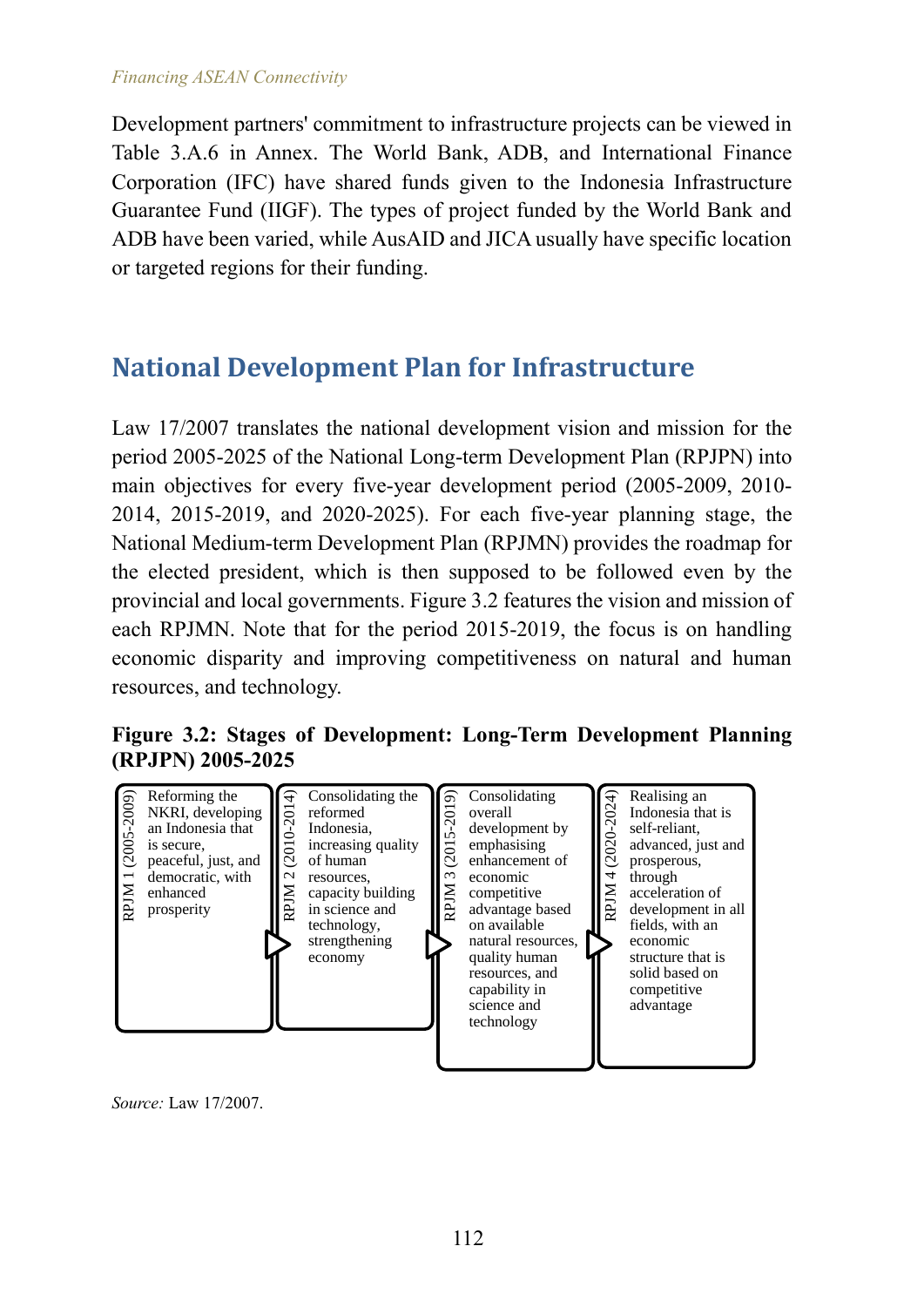#### *Financing ASEAN Connectivity*

Development partners' commitment to infrastructure projects can be viewed in Table 3.A.6 in Annex. The World Bank, ADB, and International Finance Corporation (IFC) have shared funds given to the Indonesia Infrastructure Guarantee Fund (IIGF). The types of project funded by the World Bank and ADB have been varied, while AusAID and JICA usually have specific location or targeted regions for their funding.

## **National Development Plan for Infrastructure**

Law 17/2007 translates the national development vision and mission for the period 2005-2025 of the National Long-term Development Plan (RPJPN) into main objectives for every five-year development period (2005-2009, 2010- 2014, 2015-2019, and 2020-2025). For each five-year planning stage, the National Medium-term Development Plan (RPJMN) provides the roadmap for the elected president, which is then supposed to be followed even by the provincial and local governments. Figure 3.2 features the vision and mission of each RPJMN. Note that for the period 2015-2019, the focus is on handling economic disparity and improving competitiveness on natural and human resources, and technology.

**Figure 3.2: Stages of Development: Long-Term Development Planning (RPJPN) 2005-2025**

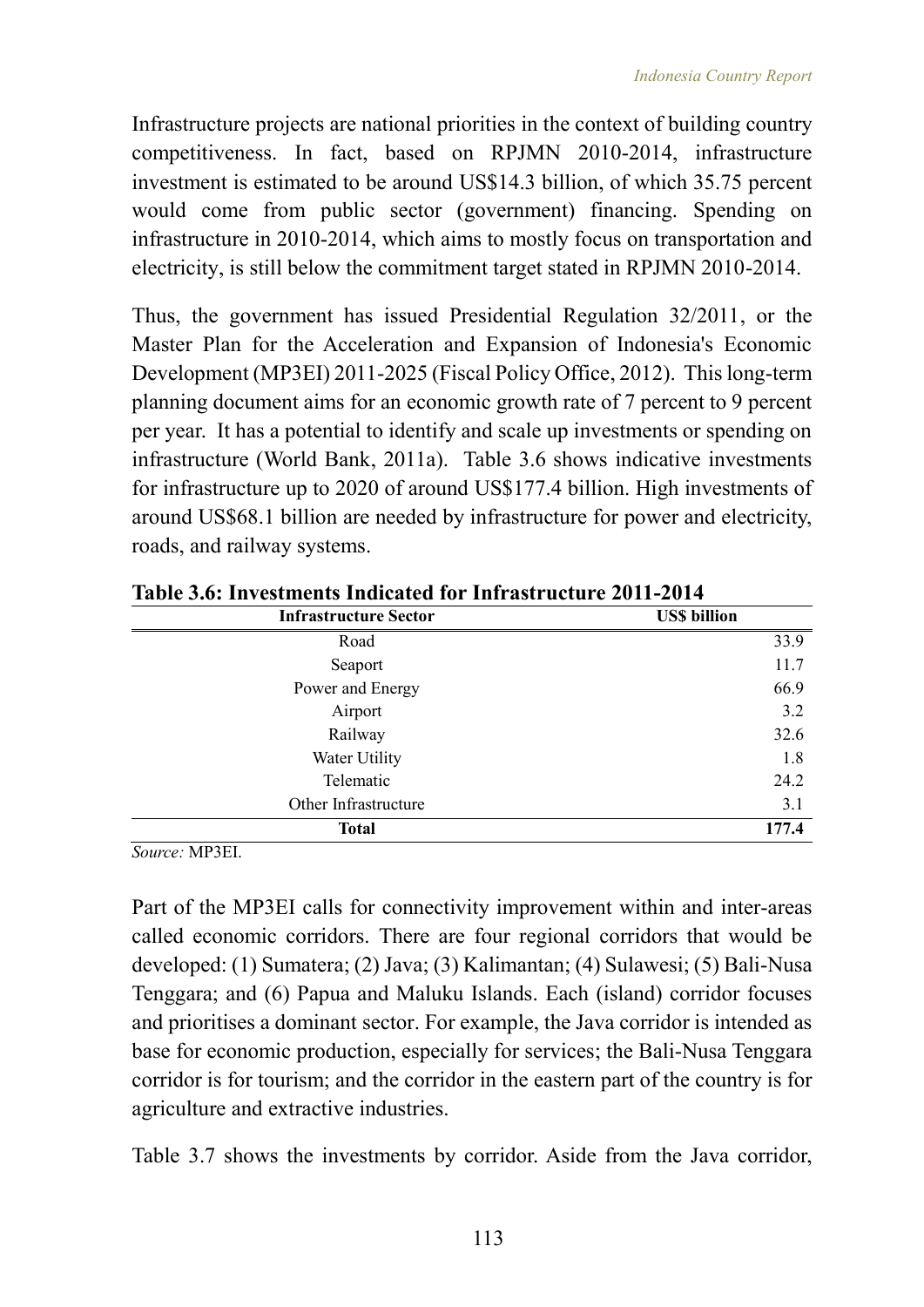Infrastructure projects are national priorities in the context of building country competitiveness. In fact, based on RPJMN 2010-2014, infrastructure investment is estimated to be around US\$14.3 billion, of which 35.75 percent would come from public sector (government) financing. Spending on infrastructure in 2010-2014, which aims to mostly focus on transportation and electricity, is still below the commitment target stated in RPJMN 2010-2014.

Thus, the government has issued Presidential Regulation 32/2011, or the Master Plan for the Acceleration and Expansion of Indonesia's Economic Development (MP3EI) 2011-2025 (Fiscal Policy Office, 2012). This long-term planning document aims for an economic growth rate of 7 percent to 9 percent per year. It has a potential to identify and scale up investments or spending on infrastructure (World Bank, 2011a). Table 3.6 shows indicative investments for infrastructure up to 2020 of around US\$177.4 billion. High investments of around US\$68.1 billion are needed by infrastructure for power and electricity, roads, and railway systems.

| <b>Infrastructure Sector</b> | <b>US\$</b> billion |
|------------------------------|---------------------|
| Road                         | 33.9                |
| Seaport                      | 11.7                |
| Power and Energy             | 66.9                |
| Airport                      | 3.2                 |
| Railway                      | 32.6                |
| Water Utility                | 1.8                 |
| Telematic                    | 24.2                |
| Other Infrastructure         | 3.1                 |
| <b>Total</b>                 | 177.4               |

**Table 3.6: Investments Indicated for Infrastructure 2011-2014**

*Source:* MP3EI.

Part of the MP3EI calls for connectivity improvement within and inter-areas called economic corridors. There are four regional corridors that would be developed: (1) Sumatera; (2) Java; (3) Kalimantan; (4) Sulawesi; (5) Bali-Nusa Tenggara; and (6) Papua and Maluku Islands. Each (island) corridor focuses and prioritises a dominant sector. For example, the Java corridor is intended as base for economic production, especially for services; the Bali-Nusa Tenggara corridor is for tourism; and the corridor in the eastern part of the country is for agriculture and extractive industries.

Table 3.7 shows the investments by corridor. Aside from the Java corridor,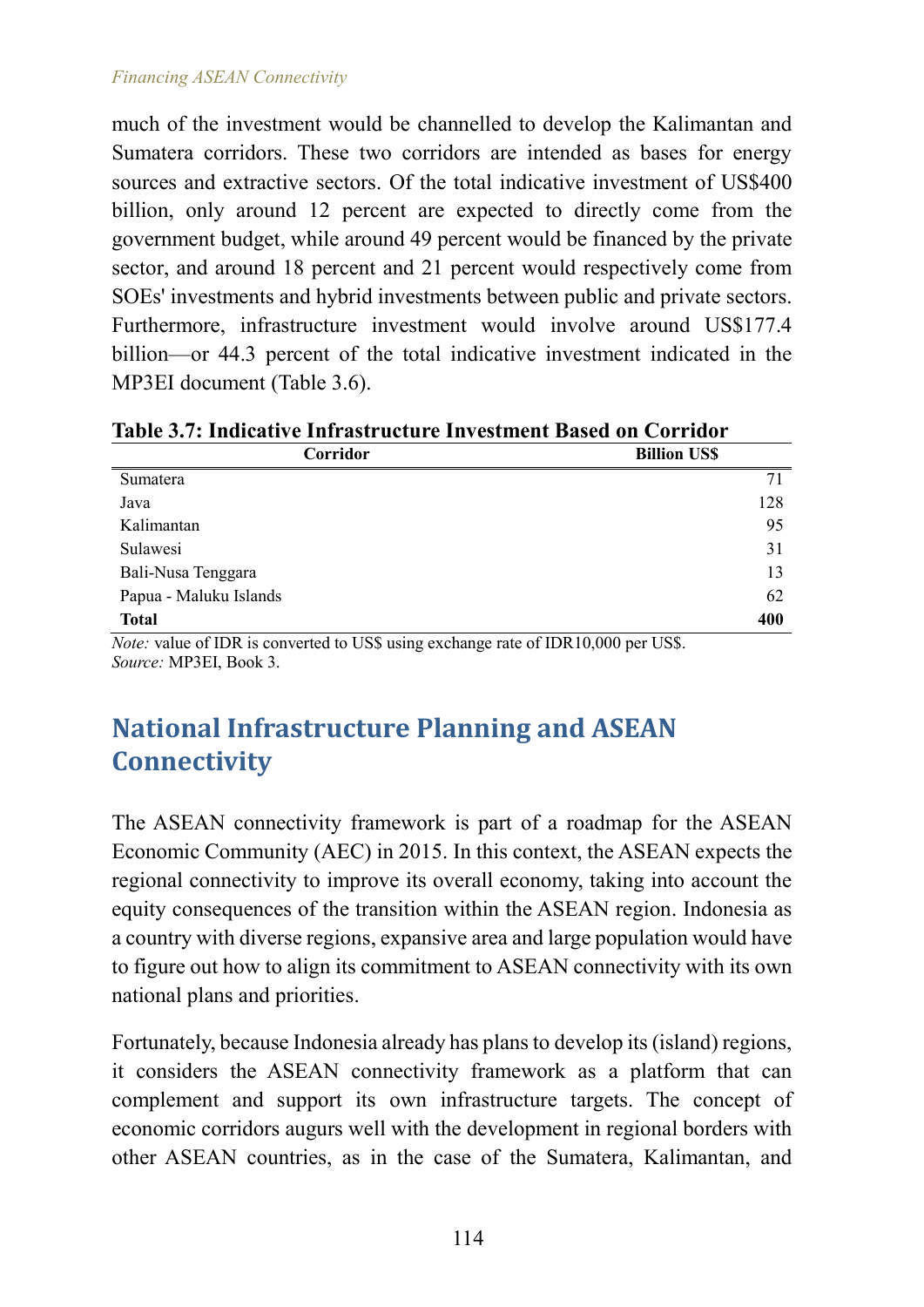#### *Financing ASEAN Connectivity*

much of the investment would be channelled to develop the Kalimantan and Sumatera corridors. These two corridors are intended as bases for energy sources and extractive sectors. Of the total indicative investment of US\$400 billion, only around 12 percent are expected to directly come from the government budget, while around 49 percent would be financed by the private sector, and around 18 percent and 21 percent would respectively come from SOEs' investments and hybrid investments between public and private sectors. Furthermore, infrastructure investment would involve around US\$177.4 billion—or 44.3 percent of the total indicative investment indicated in the MP3EI document (Table 3.6).

| Table 3.7: Indicative Infrastructure Investment Based on Corridor |  |  |  |  |
|-------------------------------------------------------------------|--|--|--|--|
|                                                                   |  |  |  |  |

| Corridor               | <b>Billion US\$</b> |
|------------------------|---------------------|
| Sumatera               | 71                  |
| Java                   | 128                 |
| Kalimantan             | 95                  |
| Sulawesi               | 31                  |
| Bali-Nusa Tenggara     | 13                  |
| Papua - Maluku Islands | 62                  |
| <b>Total</b>           | 400                 |

*Note:* value of IDR is converted to US\$ using exchange rate of IDR10,000 per US\$. *Source:* MP3EI, Book 3.

## **National Infrastructure Planning and ASEAN Connectivity**

The ASEAN connectivity framework is part of a roadmap for the ASEAN Economic Community (AEC) in 2015. In this context, the ASEAN expects the regional connectivity to improve its overall economy, taking into account the equity consequences of the transition within the ASEAN region. Indonesia as a country with diverse regions, expansive area and large population would have to figure out how to align its commitment to ASEAN connectivity with its own national plans and priorities.

Fortunately, because Indonesia already has plans to develop its (island) regions, it considers the ASEAN connectivity framework as a platform that can complement and support its own infrastructure targets. The concept of economic corridors augurs well with the development in regional borders with other ASEAN countries, as in the case of the Sumatera, Kalimantan, and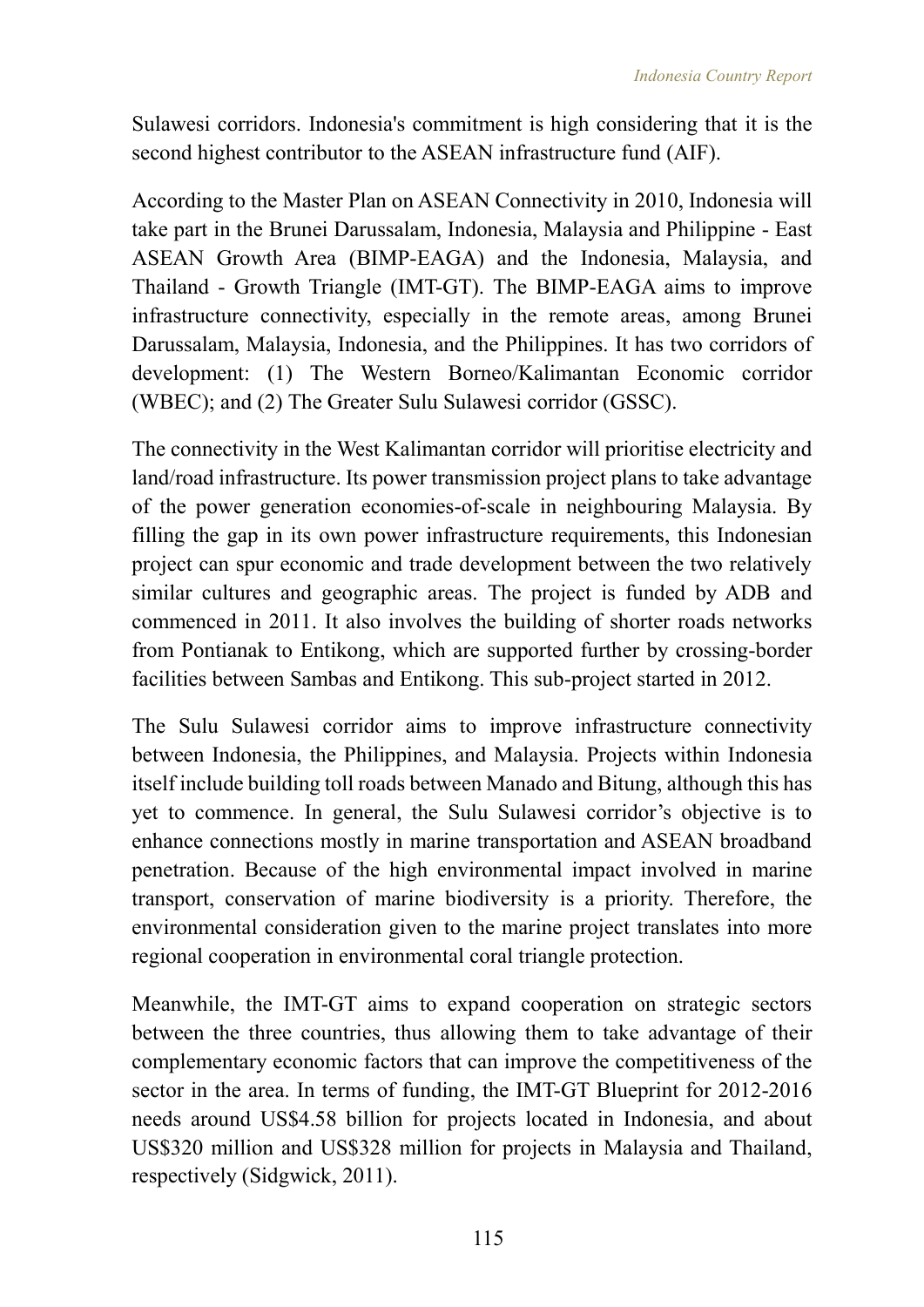Sulawesi corridors. Indonesia's commitment is high considering that it is the second highest contributor to the ASEAN infrastructure fund (AIF).

According to the Master Plan on ASEAN Connectivity in 2010, Indonesia will take part in the Brunei Darussalam, Indonesia, Malaysia and Philippine - East ASEAN Growth Area (BIMP-EAGA) and the Indonesia, Malaysia, and Thailand - Growth Triangle (IMT-GT). The BIMP-EAGA aims to improve infrastructure connectivity, especially in the remote areas, among Brunei Darussalam, Malaysia, Indonesia, and the Philippines. It has two corridors of development: (1) The Western Borneo/Kalimantan Economic corridor (WBEC); and (2) The Greater Sulu Sulawesi corridor (GSSC).

The connectivity in the West Kalimantan corridor will prioritise electricity and land/road infrastructure. Its power transmission project plans to take advantage of the power generation economies-of-scale in neighbouring Malaysia. By filling the gap in its own power infrastructure requirements, this Indonesian project can spur economic and trade development between the two relatively similar cultures and geographic areas. The project is funded by ADB and commenced in 2011. It also involves the building of shorter roads networks from Pontianak to Entikong, which are supported further by crossing-border facilities between Sambas and Entikong. This sub-project started in 2012.

The Sulu Sulawesi corridor aims to improve infrastructure connectivity between Indonesia, the Philippines, and Malaysia. Projects within Indonesia itself include building toll roads between Manado and Bitung, although this has yet to commence. In general, the Sulu Sulawesi corridor's objective is to enhance connections mostly in marine transportation and ASEAN broadband penetration. Because of the high environmental impact involved in marine transport, conservation of marine biodiversity is a priority. Therefore, the environmental consideration given to the marine project translates into more regional cooperation in environmental coral triangle protection.

Meanwhile, the IMT-GT aims to expand cooperation on strategic sectors between the three countries, thus allowing them to take advantage of their complementary economic factors that can improve the competitiveness of the sector in the area. In terms of funding, the IMT-GT Blueprint for 2012-2016 needs around US\$4.58 billion for projects located in Indonesia, and about US\$320 million and US\$328 million for projects in Malaysia and Thailand, respectively (Sidgwick, 2011).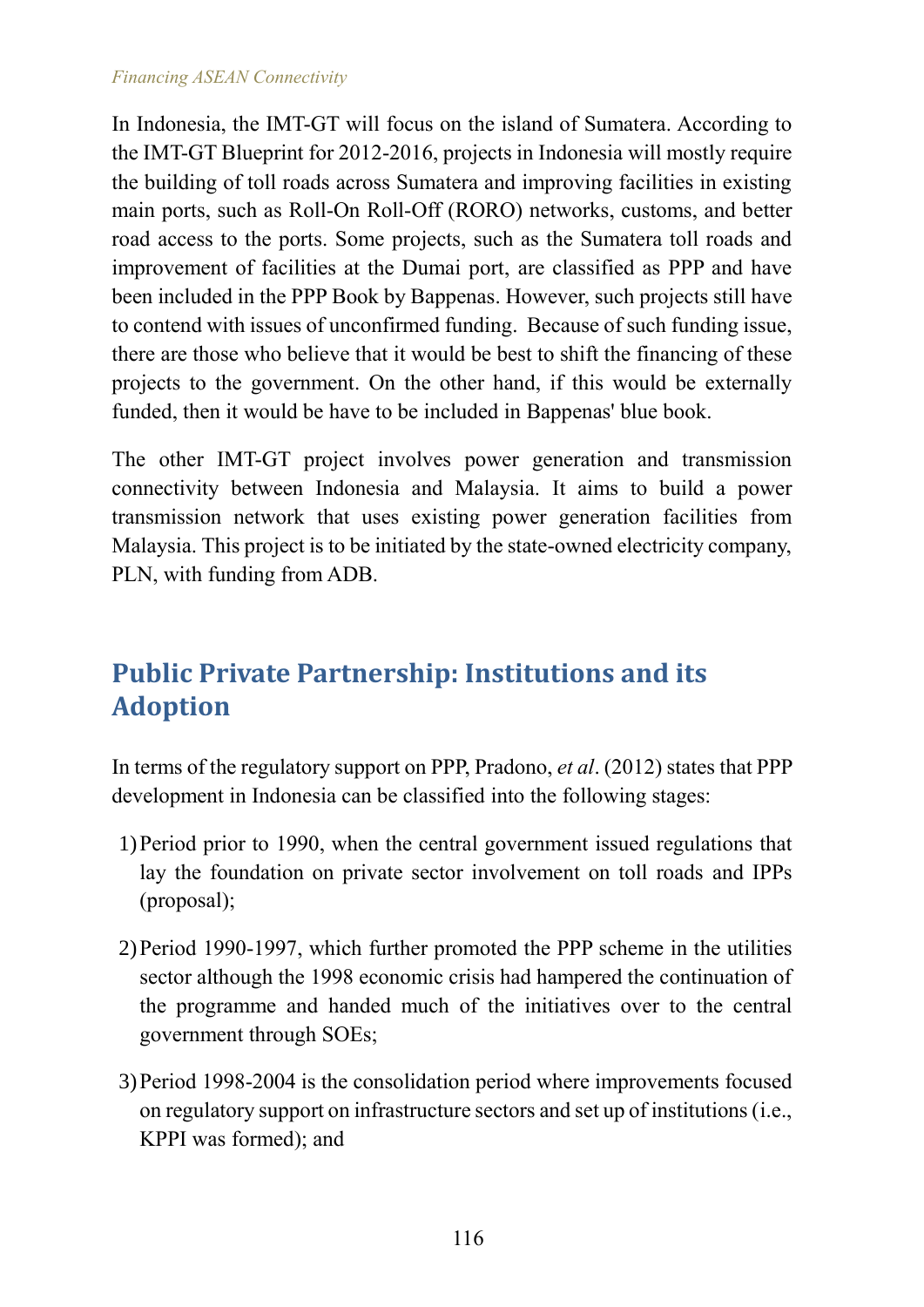#### *Financing ASEAN Connectivity*

In Indonesia, the IMT-GT will focus on the island of Sumatera. According to the IMT-GT Blueprint for 2012-2016, projects in Indonesia will mostly require the building of toll roads across Sumatera and improving facilities in existing main ports, such as Roll-On Roll-Off (RORO) networks, customs, and better road access to the ports. Some projects, such as the Sumatera toll roads and improvement of facilities at the Dumai port, are classified as PPP and have been included in the PPP Book by Bappenas. However, such projects still have to contend with issues of unconfirmed funding. Because of such funding issue, there are those who believe that it would be best to shift the financing of these projects to the government. On the other hand, if this would be externally funded, then it would be have to be included in Bappenas' blue book.

The other IMT-GT project involves power generation and transmission connectivity between Indonesia and Malaysia. It aims to build a power transmission network that uses existing power generation facilities from Malaysia. This project is to be initiated by the state-owned electricity company, PLN, with funding from ADB.

## **Public Private Partnership: Institutions and its Adoption**

In terms of the regulatory support on PPP, Pradono, *et al*. (2012) states that PPP development in Indonesia can be classified into the following stages:

- 1)Period prior to 1990, when the central government issued regulations that lay the foundation on private sector involvement on toll roads and IPPs (proposal);
- 2)Period 1990-1997, which further promoted the PPP scheme in the utilities sector although the 1998 economic crisis had hampered the continuation of the programme and handed much of the initiatives over to the central government through SOEs;
- 3)Period 1998-2004 is the consolidation period where improvements focused on regulatory support on infrastructure sectors and set up of institutions (i.e., KPPI was formed); and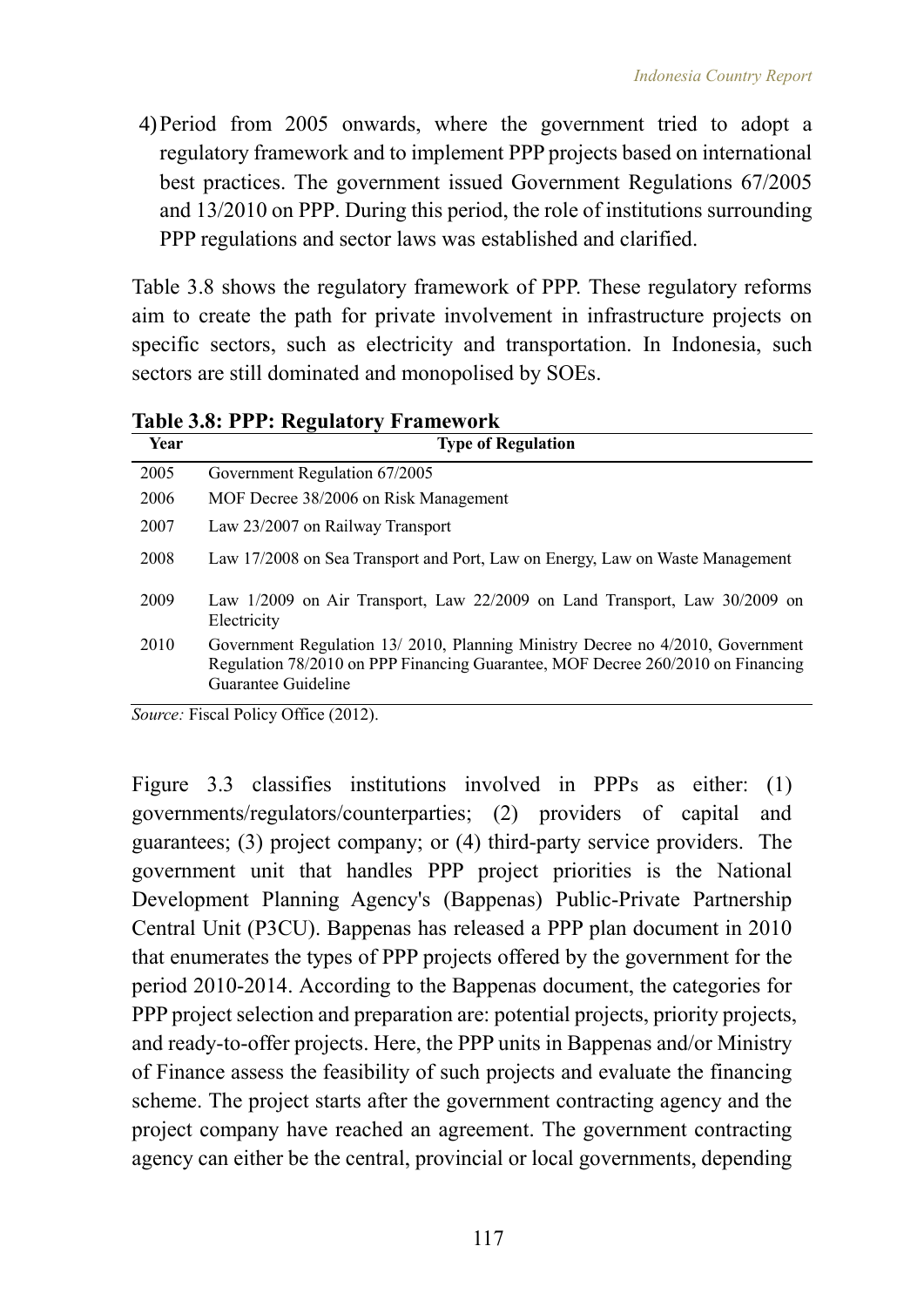4)Period from 2005 onwards, where the government tried to adopt a regulatory framework and to implement PPP projects based on international best practices. The government issued Government Regulations 67/2005 and 13/2010 on PPP. During this period, the role of institutions surrounding PPP regulations and sector laws was established and clarified.

Table 3.8 shows the regulatory framework of PPP. These regulatory reforms aim to create the path for private involvement in infrastructure projects on specific sectors, such as electricity and transportation. In Indonesia, such sectors are still dominated and monopolised by SOEs.

| Year | <b>Type of Regulation</b>                                                                                                                                                               |
|------|-----------------------------------------------------------------------------------------------------------------------------------------------------------------------------------------|
| 2005 | Government Regulation 67/2005                                                                                                                                                           |
| 2006 | MOF Decree 38/2006 on Risk Management                                                                                                                                                   |
| 2007 | Law 23/2007 on Railway Transport                                                                                                                                                        |
| 2008 | Law 17/2008 on Sea Transport and Port, Law on Energy, Law on Waste Management                                                                                                           |
| 2009 | Law $1/2009$ on Air Transport, Law $22/2009$ on Land Transport, Law $30/2009$ on<br>Electricity                                                                                         |
| 2010 | Government Regulation 13/2010, Planning Ministry Decree no 4/2010, Government<br>Regulation 78/2010 on PPP Financing Guarantee, MOF Decree 260/2010 on Financing<br>Guarantee Guideline |

**Table 3.8: PPP: Regulatory Framework**

*Source:* Fiscal Policy Office (2012).

Figure 3.3 classifies institutions involved in PPPs as either: (1) governments/regulators/counterparties; (2) providers of capital and guarantees; (3) project company; or (4) third-party service providers. The government unit that handles PPP project priorities is the National Development Planning Agency's (Bappenas) Public-Private Partnership Central Unit (P3CU). Bappenas has released a PPP plan document in 2010 that enumerates the types of PPP projects offered by the government for the period 2010-2014. According to the Bappenas document, the categories for PPP project selection and preparation are: potential projects, priority projects, and ready-to-offer projects. Here, the PPP units in Bappenas and/or Ministry of Finance assess the feasibility of such projects and evaluate the financing scheme. The project starts after the government contracting agency and the project company have reached an agreement. The government contracting agency can either be the central, provincial or local governments, depending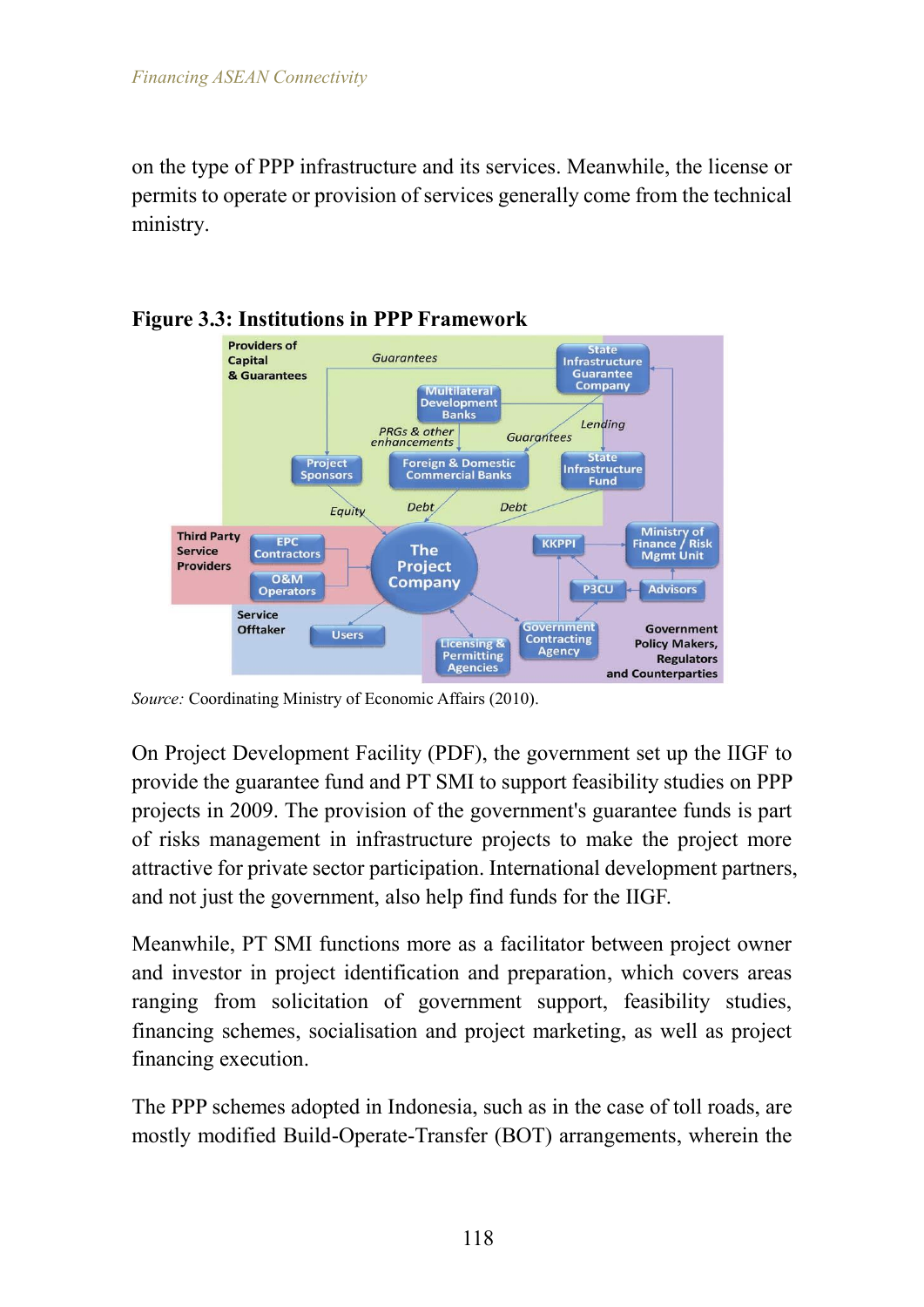on the type of PPP infrastructure and its services. Meanwhile, the license or permits to operate or provision of services generally come from the technical ministry.



#### **Figure 3.3: Institutions in PPP Framework**

*Source:* Coordinating Ministry of Economic Affairs (2010).

On Project Development Facility (PDF), the government set up the IIGF to provide the guarantee fund and PT SMI to support feasibility studies on PPP projects in 2009. The provision of the government's guarantee funds is part of risks management in infrastructure projects to make the project more attractive for private sector participation. International development partners, and not just the government, also help find funds for the IIGF.

Meanwhile, PT SMI functions more as a facilitator between project owner and investor in project identification and preparation, which covers areas ranging from solicitation of government support, feasibility studies, financing schemes, socialisation and project marketing, as well as project financing execution.

The PPP schemes adopted in Indonesia, such as in the case of toll roads, are mostly modified Build-Operate-Transfer (BOT) arrangements, wherein the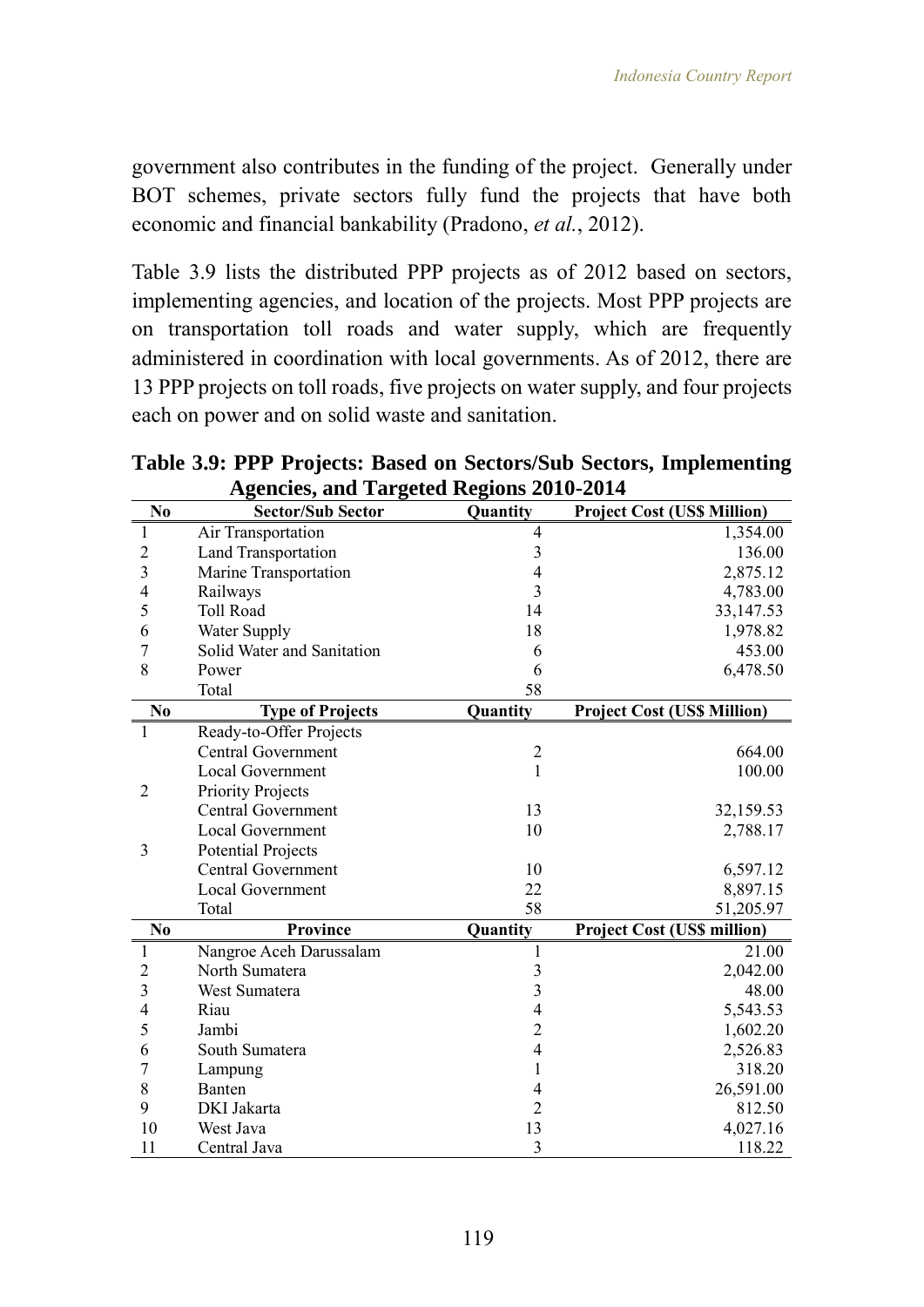government also contributes in the funding of the project. Generally under BOT schemes, private sectors fully fund the projects that have both economic and financial bankability (Pradono, *et al.*, 2012).

Table 3.9 lists the distributed PPP projects as of 2012 based on sectors, implementing agencies, and location of the projects. Most PPP projects are on transportation toll roads and water supply, which are frequently administered in coordination with local governments. As of 2012, there are 13 PPP projects on toll roads, five projects on water supply, and four projects each on power and on solid waste and sanitation.

|                         | <b>Agencies, and Targeted Regions 2010-2014</b> |                         |                                    |  |  |  |  |
|-------------------------|-------------------------------------------------|-------------------------|------------------------------------|--|--|--|--|
| N <sub>0</sub>          | <b>Sector/Sub Sector</b>                        | Quantity                | <b>Project Cost (US\$ Million)</b> |  |  |  |  |
| $\mathbf{1}$            | Air Transportation                              | $\overline{4}$          | 1,354.00                           |  |  |  |  |
| $\overline{c}$          | <b>Land Transportation</b>                      | $\overline{3}$          | 136.00                             |  |  |  |  |
| $\overline{3}$          | Marine Transportation                           | $\overline{4}$          | 2,875.12                           |  |  |  |  |
| $\overline{4}$          | Railways                                        | 3                       | 4,783.00                           |  |  |  |  |
| 5                       | <b>Toll Road</b>                                | 14                      | 33, 147.53                         |  |  |  |  |
| 6                       | Water Supply                                    | 18                      | 1,978.82                           |  |  |  |  |
| $\overline{7}$          | Solid Water and Sanitation                      | 6                       | 453.00                             |  |  |  |  |
| 8                       | Power                                           | 6                       | 6,478.50                           |  |  |  |  |
|                         | Total                                           | 58                      |                                    |  |  |  |  |
| N <sub>0</sub>          | <b>Type of Projects</b>                         | Quantity                | <b>Project Cost (US\$ Million)</b> |  |  |  |  |
| $\mathbf{1}$            | Ready-to-Offer Projects                         |                         |                                    |  |  |  |  |
|                         | <b>Central Government</b>                       | $\overline{c}$          | 664.00                             |  |  |  |  |
|                         | <b>Local Government</b>                         | $\mathbf{1}$            | 100.00                             |  |  |  |  |
| $\overline{2}$          | <b>Priority Projects</b>                        |                         |                                    |  |  |  |  |
|                         | <b>Central Government</b>                       | 13                      | 32,159.53                          |  |  |  |  |
|                         | <b>Local Government</b>                         | 10                      | 2,788.17                           |  |  |  |  |
| 3                       | <b>Potential Projects</b>                       |                         |                                    |  |  |  |  |
|                         | <b>Central Government</b>                       | 10                      | 6,597.12                           |  |  |  |  |
|                         | <b>Local Government</b>                         | 22                      | 8,897.15                           |  |  |  |  |
|                         | Total                                           | 58                      | 51,205.97                          |  |  |  |  |
| N <sub>0</sub>          | <b>Province</b>                                 | Quantity                | <b>Project Cost (US\$ million)</b> |  |  |  |  |
| 1                       | Nangroe Aceh Darussalam                         | 1                       | 21.00                              |  |  |  |  |
| $\overline{c}$          | North Sumatera                                  | $\overline{\mathbf{3}}$ | 2,042.00                           |  |  |  |  |
| $\overline{\mathbf{3}}$ | West Sumatera                                   | 3                       | 48.00                              |  |  |  |  |
| $\overline{4}$          | Riau                                            | $\overline{4}$          | 5,543.53                           |  |  |  |  |
| 5                       | Jambi                                           | $\overline{c}$          | 1,602.20                           |  |  |  |  |
| 6                       | South Sumatera                                  | $\overline{4}$          | 2,526.83                           |  |  |  |  |
| 7                       | Lampung                                         | $\mathbf{1}$            | 318.20                             |  |  |  |  |
| 8                       | Banten                                          | $\overline{4}$          | 26,591.00                          |  |  |  |  |
| 9                       | DKI Jakarta                                     | $\overline{2}$          | 812.50                             |  |  |  |  |
| 10                      | West Java                                       | 13                      | 4,027.16                           |  |  |  |  |
| 11                      | Central Java                                    | 3                       | 118.22                             |  |  |  |  |

**Table 3.9: PPP Projects: Based on Sectors/Sub Sectors, Implementing**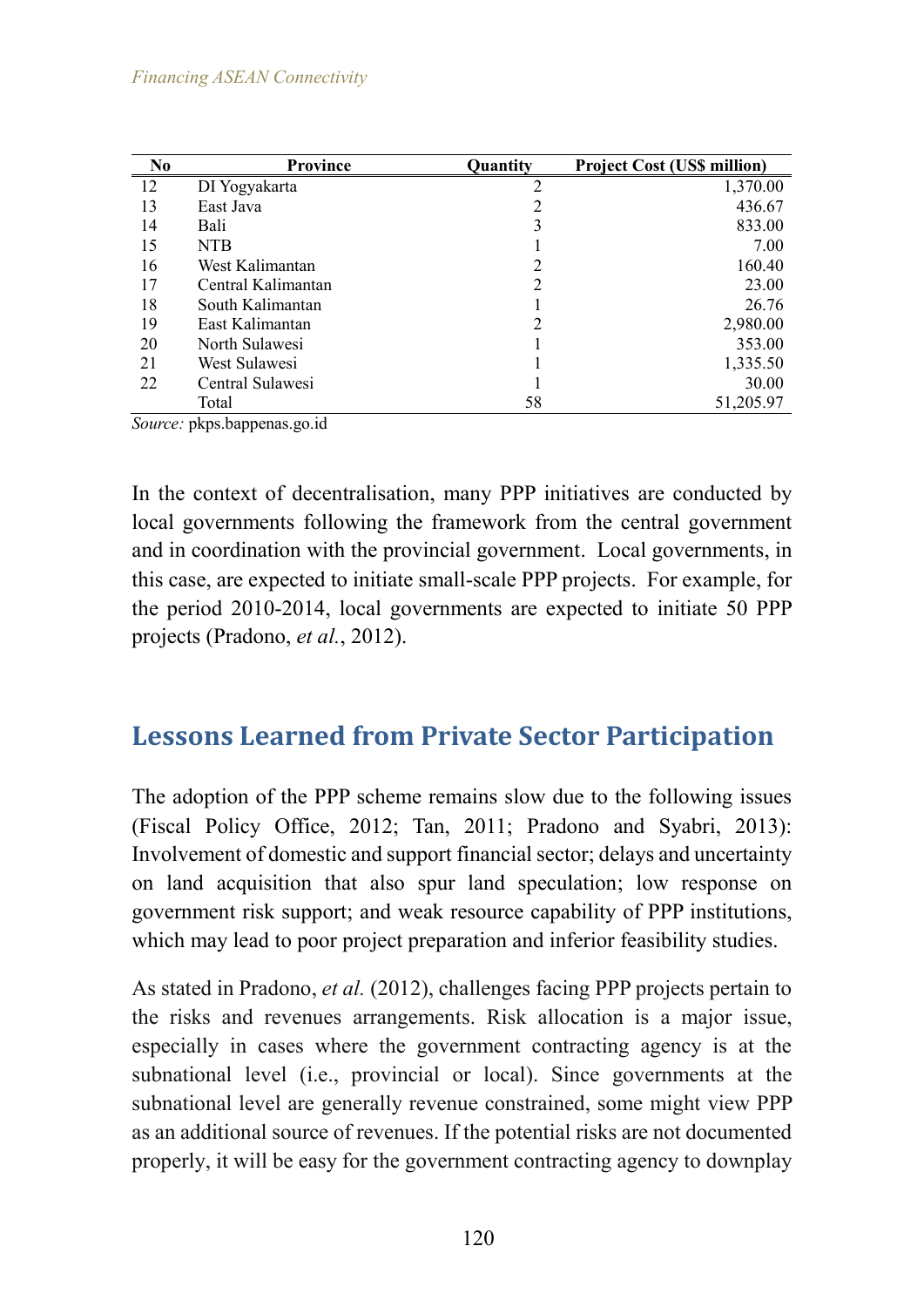| N <sub>0</sub> | <b>Province</b>    | Quantity | <b>Project Cost (US\$ million)</b> |
|----------------|--------------------|----------|------------------------------------|
| 12             | DI Yogyakarta      | 2        | 1,370.00                           |
| 13             | East Java          |          | 436.67                             |
| 14             | Bali               | 3        | 833.00                             |
| 15             | <b>NTB</b>         |          | 7.00                               |
| 16             | West Kalimantan    | 2        | 160.40                             |
| 17             | Central Kalimantan | 2        | 23.00                              |
| 18             | South Kalimantan   |          | 26.76                              |
| 19             | East Kalimantan    | 2        | 2,980.00                           |
| 20             | North Sulawesi     |          | 353.00                             |
| 21             | West Sulawesi      |          | 1,335.50                           |
| 22             | Central Sulawesi   |          | 30.00                              |
|                | Total              | 58       | 51,205.97                          |

*Source:* pkps.bappenas.go.id

In the context of decentralisation, many PPP initiatives are conducted by local governments following the framework from the central government and in coordination with the provincial government. Local governments, in this case, are expected to initiate small-scale PPP projects. For example, for the period 2010-2014, local governments are expected to initiate 50 PPP projects (Pradono, *et al.*, 2012).

## **Lessons Learned from Private Sector Participation**

The adoption of the PPP scheme remains slow due to the following issues (Fiscal Policy Office, 2012; Tan, 2011; Pradono and Syabri, 2013): Involvement of domestic and support financial sector; delays and uncertainty on land acquisition that also spur land speculation; low response on government risk support; and weak resource capability of PPP institutions, which may lead to poor project preparation and inferior feasibility studies.

As stated in Pradono, *et al.* (2012), challenges facing PPP projects pertain to the risks and revenues arrangements. Risk allocation is a major issue, especially in cases where the government contracting agency is at the subnational level (i.e., provincial or local). Since governments at the subnational level are generally revenue constrained, some might view PPP as an additional source of revenues. If the potential risks are not documented properly, it will be easy for the government contracting agency to downplay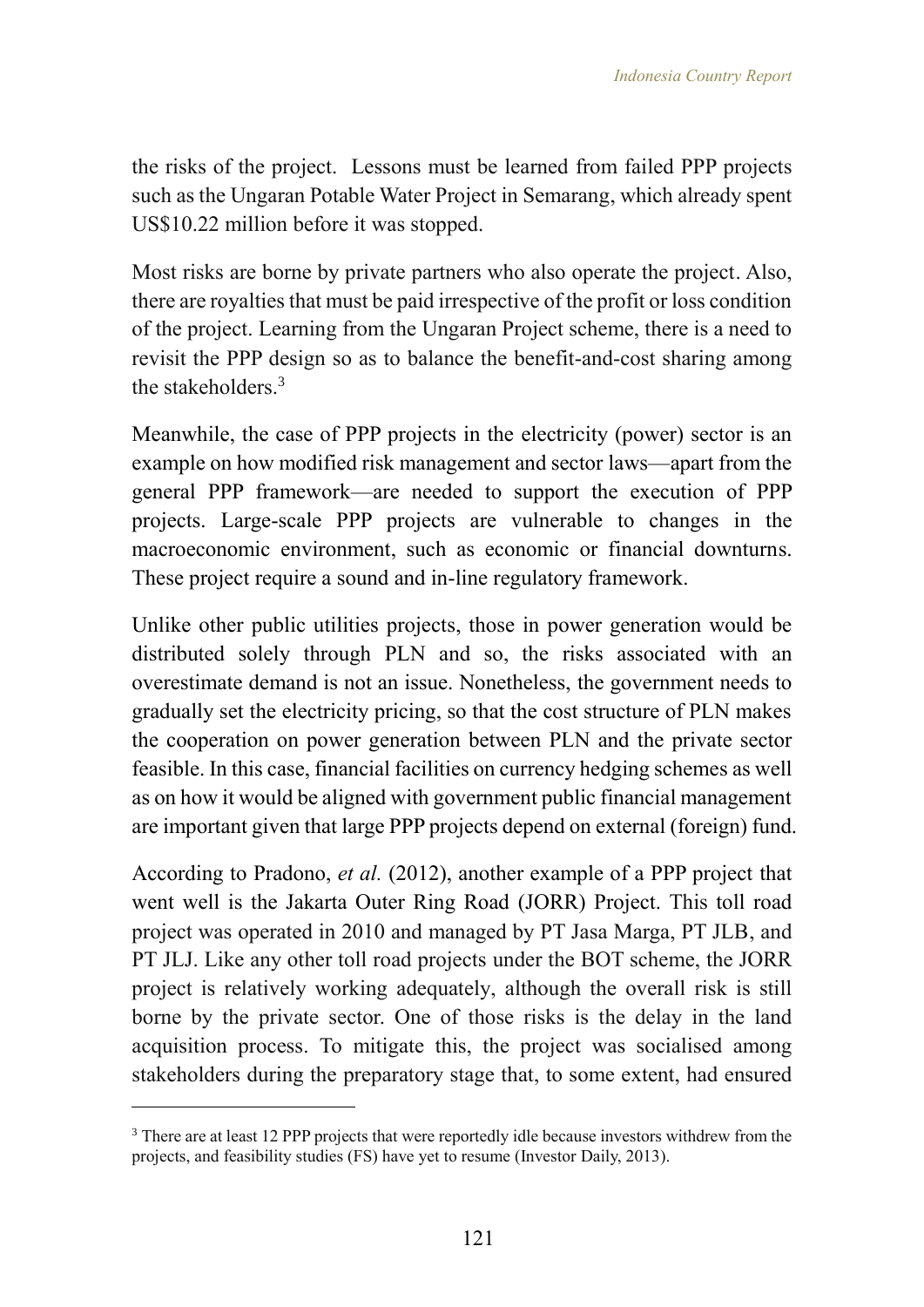the risks of the project. Lessons must be learned from failed PPP projects such as the Ungaran Potable Water Project in Semarang, which already spent US\$10.22 million before it was stopped.

Most risks are borne by private partners who also operate the project. Also, there are royalties that must be paid irrespective of the profit or loss condition of the project. Learning from the Ungaran Project scheme, there is a need to revisit the PPP design so as to balance the benefit-and-cost sharing among the stakeholders<sup>3</sup>

Meanwhile, the case of PPP projects in the electricity (power) sector is an example on how modified risk management and sector laws—apart from the general PPP framework—are needed to support the execution of PPP projects. Large-scale PPP projects are vulnerable to changes in the macroeconomic environment, such as economic or financial downturns. These project require a sound and in-line regulatory framework.

Unlike other public utilities projects, those in power generation would be distributed solely through PLN and so, the risks associated with an overestimate demand is not an issue. Nonetheless, the government needs to gradually set the electricity pricing, so that the cost structure of PLN makes the cooperation on power generation between PLN and the private sector feasible. In this case, financial facilities on currency hedging schemes as well as on how it would be aligned with government public financial management are important given that large PPP projects depend on external (foreign) fund.

According to Pradono, *et al.* (2012), another example of a PPP project that went well is the Jakarta Outer Ring Road (JORR) Project. This toll road project was operated in 2010 and managed by PT Jasa Marga, PT JLB, and PT JLJ. Like any other toll road projects under the BOT scheme, the JORR project is relatively working adequately, although the overall risk is still borne by the private sector. One of those risks is the delay in the land acquisition process. To mitigate this, the project was socialised among stakeholders during the preparatory stage that, to some extent, had ensured

 $\overline{a}$ 

 $3$  There are at least 12 PPP projects that were reportedly idle because investors withdrew from the projects, and feasibility studies (FS) have yet to resume (Investor Daily, 2013).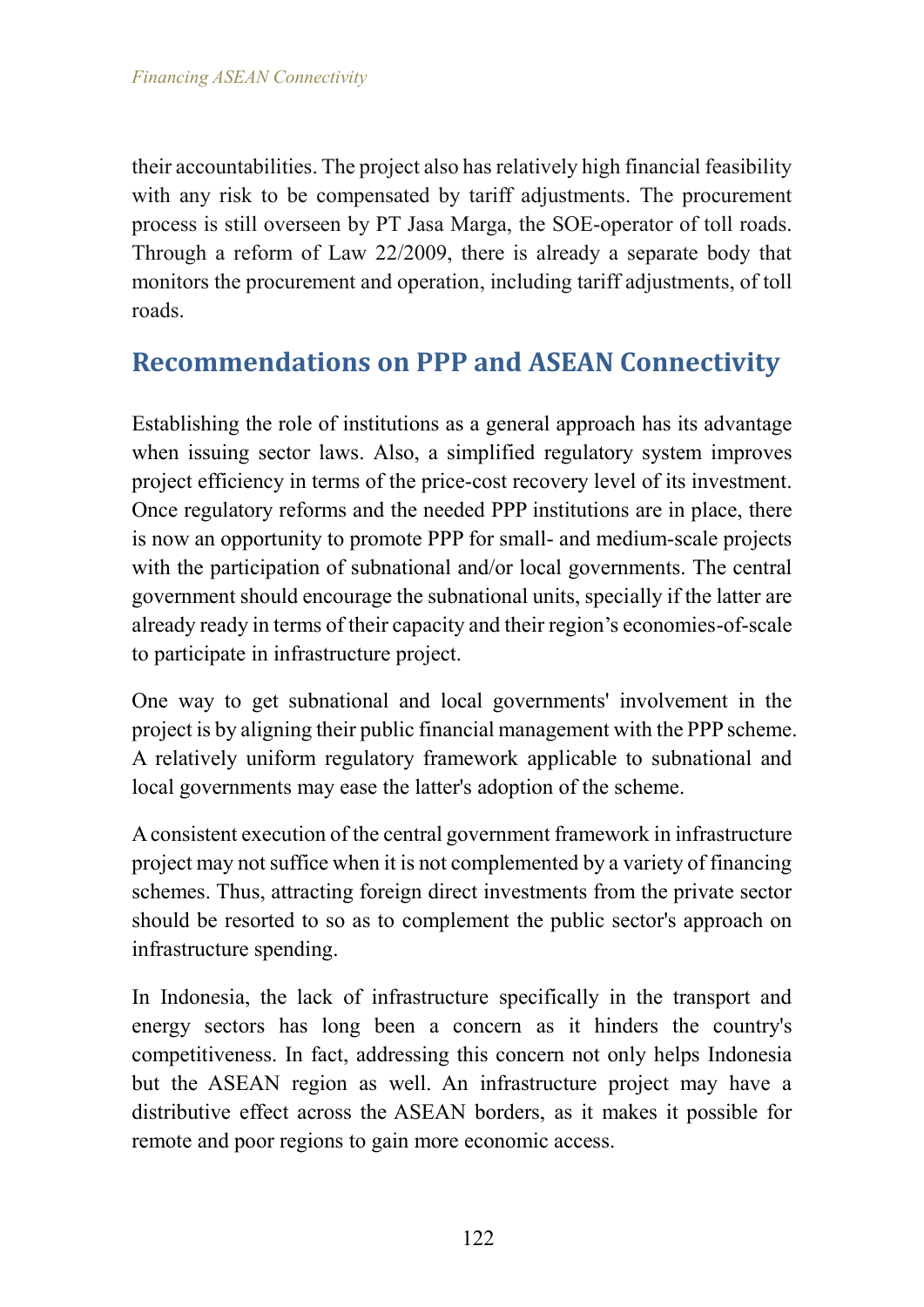their accountabilities. The project also has relatively high financial feasibility with any risk to be compensated by tariff adjustments. The procurement process is still overseen by PT Jasa Marga, the SOE-operator of toll roads. Through a reform of Law 22/2009, there is already a separate body that monitors the procurement and operation, including tariff adjustments, of toll roads.

## **Recommendations on PPP and ASEAN Connectivity**

Establishing the role of institutions as a general approach has its advantage when issuing sector laws. Also, a simplified regulatory system improves project efficiency in terms of the price-cost recovery level of its investment. Once regulatory reforms and the needed PPP institutions are in place, there is now an opportunity to promote PPP for small- and medium-scale projects with the participation of subnational and/or local governments. The central government should encourage the subnational units, specially if the latter are already ready in terms of their capacity and their region's economies-of-scale to participate in infrastructure project.

One way to get subnational and local governments' involvement in the project is by aligning their public financial management with the PPP scheme. A relatively uniform regulatory framework applicable to subnational and local governments may ease the latter's adoption of the scheme.

A consistent execution of the central government framework in infrastructure project may not suffice when it is not complemented by a variety of financing schemes. Thus, attracting foreign direct investments from the private sector should be resorted to so as to complement the public sector's approach on infrastructure spending.

In Indonesia, the lack of infrastructure specifically in the transport and energy sectors has long been a concern as it hinders the country's competitiveness. In fact, addressing this concern not only helps Indonesia but the ASEAN region as well. An infrastructure project may have a distributive effect across the ASEAN borders, as it makes it possible for remote and poor regions to gain more economic access.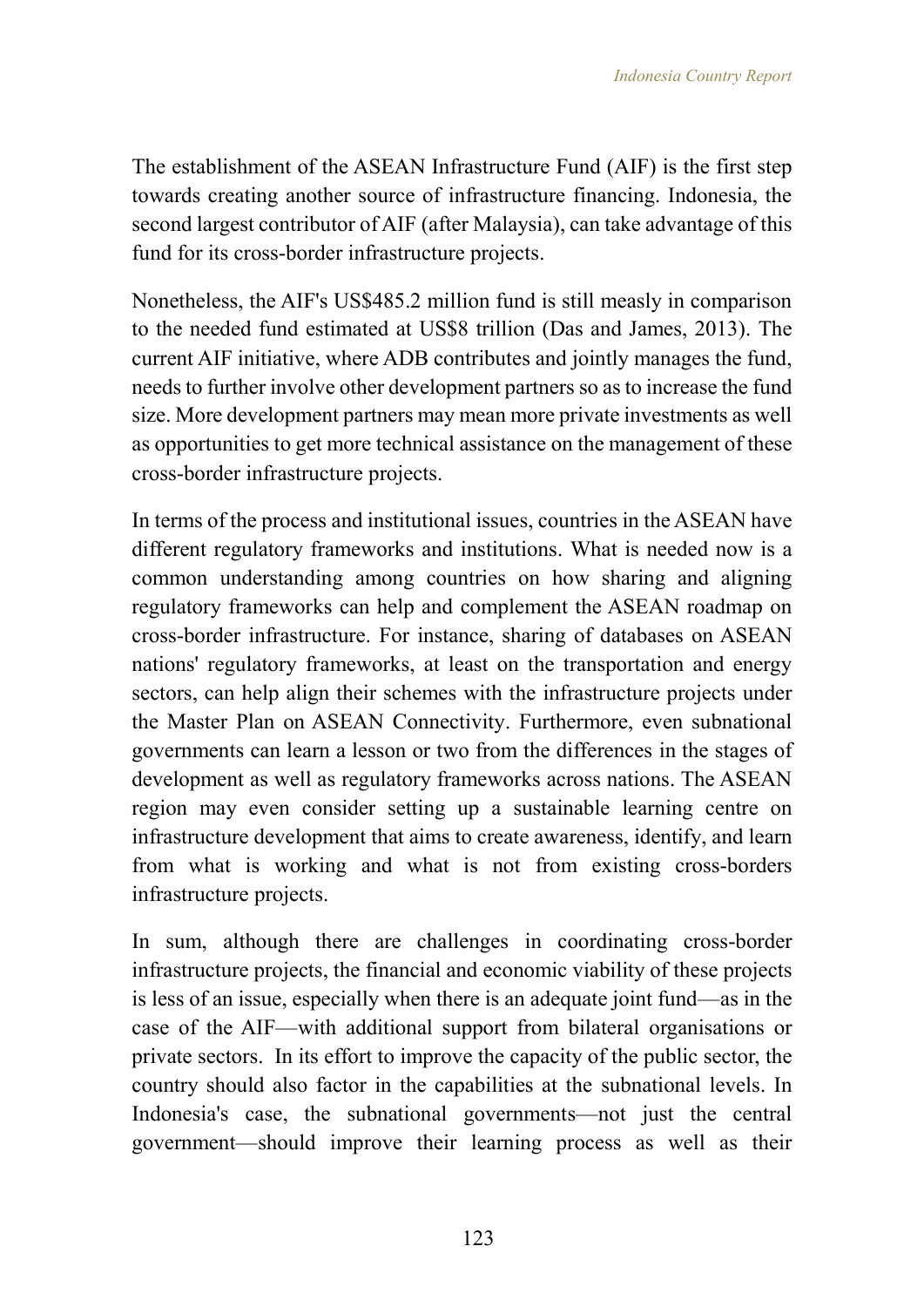The establishment of the ASEAN Infrastructure Fund (AIF) is the first step towards creating another source of infrastructure financing. Indonesia, the second largest contributor of AIF (after Malaysia), can take advantage of this fund for its cross-border infrastructure projects.

Nonetheless, the AIF's US\$485.2 million fund is still measly in comparison to the needed fund estimated at US\$8 trillion (Das and James, 2013). The current AIF initiative, where ADB contributes and jointly manages the fund, needs to further involve other development partners so as to increase the fund size. More development partners may mean more private investments as well as opportunities to get more technical assistance on the management of these cross-border infrastructure projects.

In terms of the process and institutional issues, countries in the ASEAN have different regulatory frameworks and institutions. What is needed now is a common understanding among countries on how sharing and aligning regulatory frameworks can help and complement the ASEAN roadmap on cross-border infrastructure. For instance, sharing of databases on ASEAN nations' regulatory frameworks, at least on the transportation and energy sectors, can help align their schemes with the infrastructure projects under the Master Plan on ASEAN Connectivity. Furthermore, even subnational governments can learn a lesson or two from the differences in the stages of development as well as regulatory frameworks across nations. The ASEAN region may even consider setting up a sustainable learning centre on infrastructure development that aims to create awareness, identify, and learn from what is working and what is not from existing cross-borders infrastructure projects.

In sum, although there are challenges in coordinating cross-border infrastructure projects, the financial and economic viability of these projects is less of an issue, especially when there is an adequate joint fund—as in the case of the AIF—with additional support from bilateral organisations or private sectors. In its effort to improve the capacity of the public sector, the country should also factor in the capabilities at the subnational levels. In Indonesia's case, the subnational governments—not just the central government—should improve their learning process as well as their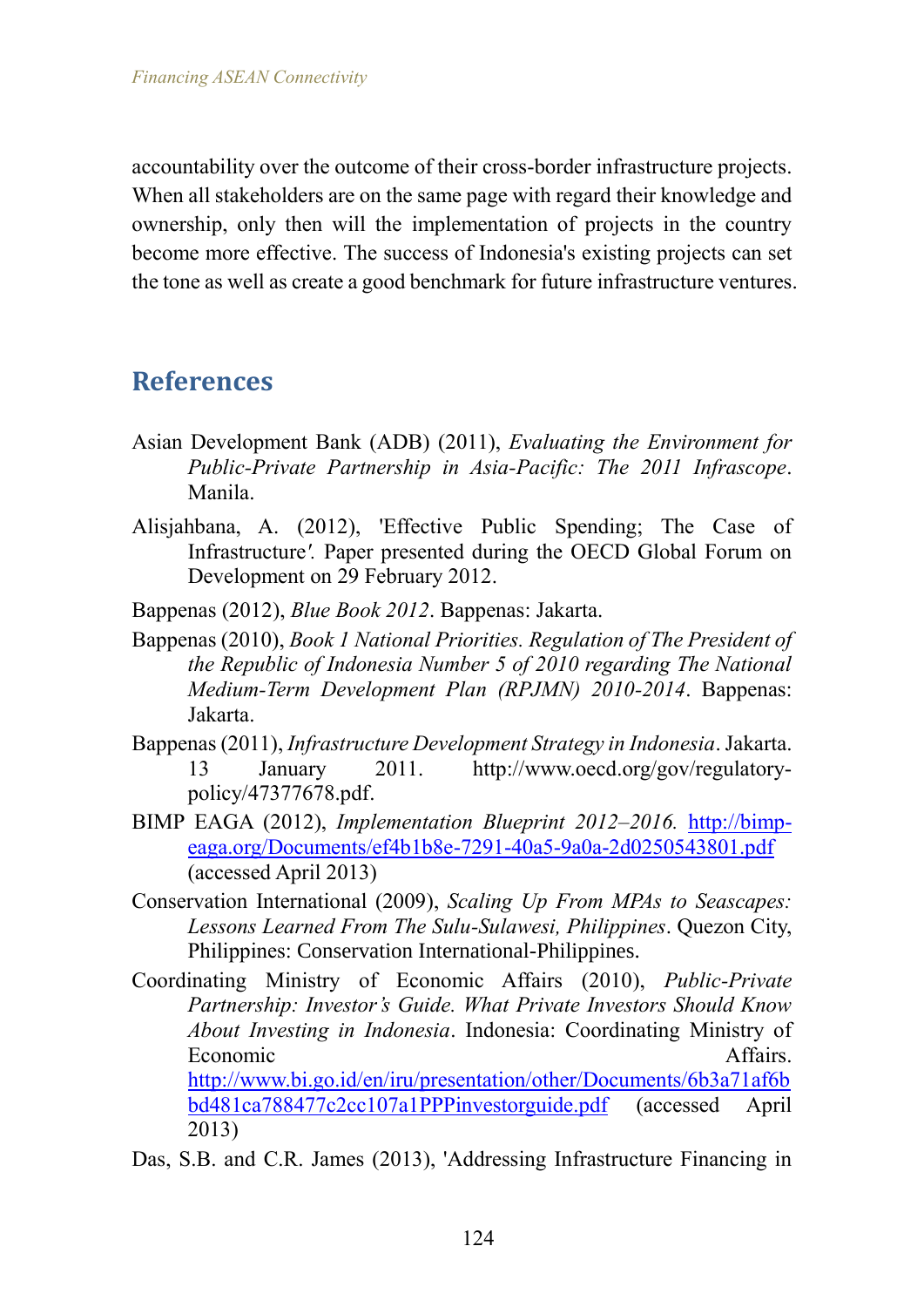accountability over the outcome of their cross-border infrastructure projects. When all stakeholders are on the same page with regard their knowledge and ownership, only then will the implementation of projects in the country become more effective. The success of Indonesia's existing projects can set the tone as well as create a good benchmark for future infrastructure ventures.

## **References**

- Asian Development Bank (ADB) (2011), *Evaluating the Environment for Public-Private Partnership in Asia-Pacific: The 2011 Infrascope*. Manila.
- Alisjahbana, A. (2012), 'Effective Public Spending; The Case of Infrastructure*'.* Paper presented during the OECD Global Forum on Development on 29 February 2012.
- Bappenas (2012), *Blue Book 2012*. Bappenas: Jakarta.
- Bappenas (2010), *Book 1 National Priorities. Regulation of The President of the Republic of Indonesia Number 5 of 2010 regarding The National Medium-Term Development Plan (RPJMN) 2010-2014*. Bappenas: Jakarta.
- Bappenas (2011), *Infrastructure Development Strategy in Indonesia*. Jakarta. 13 January 2011. http://www.oecd.org/gov/regulatorypolicy/47377678.pdf.
- BIMP EAGA (2012), *Implementation Blueprint 2012–2016.* [http://bimp](http://bimp-eaga.org/Documents/ef4b1b8e-7291-40a5-9a0a-2d0250543801.pdf)[eaga.org/Documents/ef4b1b8e-7291-40a5-9a0a-2d0250543801.pdf](http://bimp-eaga.org/Documents/ef4b1b8e-7291-40a5-9a0a-2d0250543801.pdf) (accessed April 2013)
- Conservation International (2009), *Scaling Up From MPAs to Seascapes: Lessons Learned From The Sulu-Sulawesi, Philippines*. Quezon City, Philippines: Conservation International-Philippines.
- Coordinating Ministry of Economic Affairs (2010), *Public-Private Partnership: Investor's Guide. What Private Investors Should Know About Investing in Indonesia*. Indonesia: Coordinating Ministry of Economic Affairs. [http://www.bi.go.id/en/iru/presentation/other/Documents/6b3a71af6b](http://www.bi.go.id/en/iru/presentation/other/Documents/6b3a71af6bbd481ca788477c2cc107a1PPPinvestorguide.pdf) [bd481ca788477c2cc107a1PPPinvestorguide.pdf](http://www.bi.go.id/en/iru/presentation/other/Documents/6b3a71af6bbd481ca788477c2cc107a1PPPinvestorguide.pdf) (accessed April 2013)
- Das, S.B. and C.R. James (2013), 'Addressing Infrastructure Financing in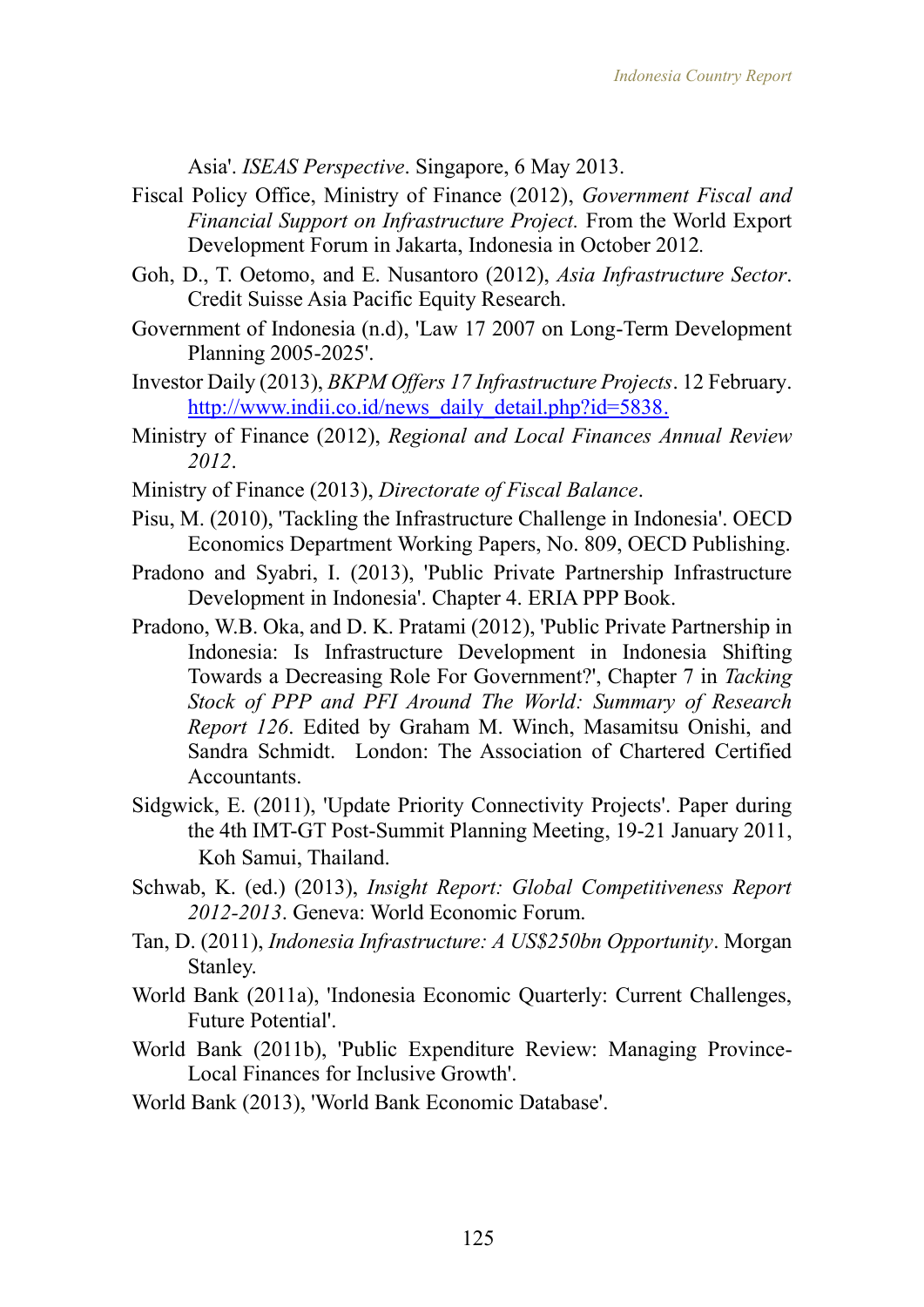Asia'. *ISEAS Perspective*. Singapore, 6 May 2013.

- Fiscal Policy Office, Ministry of Finance (2012), *Government Fiscal and Financial Support on Infrastructure Project.* From the World Export Development Forum in Jakarta, Indonesia in October 2012*.*
- Goh, D., T. Oetomo, and E. Nusantoro (2012), *Asia Infrastructure Sector*. Credit Suisse Asia Pacific Equity Research.
- Government of Indonesia (n.d), 'Law 17 2007 on Long-Term Development Planning 2005-2025'.
- Investor Daily (2013), *BKPM Offers 17 Infrastructure Projects*. 12 February. [http://www.indii.co.id/news\\_daily\\_detail.php?id=5838.](http://www.indii.co.id/news_daily_detail.php?id=5838)
- Ministry of Finance (2012), *Regional and Local Finances Annual Review 2012*.
- Ministry of Finance (2013), *Directorate of Fiscal Balance*.
- Pisu, M. (2010), 'Tackling the Infrastructure Challenge in Indonesia'. OECD Economics Department Working Papers, No. 809, OECD Publishing.
- Pradono and Syabri, I. (2013), 'Public Private Partnership Infrastructure Development in Indonesia'. Chapter 4. ERIA PPP Book.
- Pradono, W.B. Oka, and D. K. Pratami (2012), 'Public Private Partnership in Indonesia: Is Infrastructure Development in Indonesia Shifting Towards a Decreasing Role For Government?', Chapter 7 in *Tacking Stock of PPP and PFI Around The World: Summary of Research Report 126*. Edited by Graham M. Winch, Masamitsu Onishi, and Sandra Schmidt. London: The Association of Chartered Certified **Accountants**
- Sidgwick, E. (2011), 'Update Priority Connectivity Projects'. Paper during the 4th IMT-GT Post-Summit Planning Meeting, 19-21 January 2011, Koh Samui, Thailand.
- Schwab, K. (ed.) (2013), *Insight Report: Global Competitiveness Report 2012-2013*. Geneva: World Economic Forum.
- Tan, D. (2011), *Indonesia Infrastructure: A US\$250bn Opportunity*. Morgan Stanley.
- World Bank (2011a), 'Indonesia Economic Quarterly: Current Challenges, Future Potential'.
- World Bank (2011b), 'Public Expenditure Review: Managing Province-Local Finances for Inclusive Growth'.
- World Bank (2013), 'World Bank Economic Database'.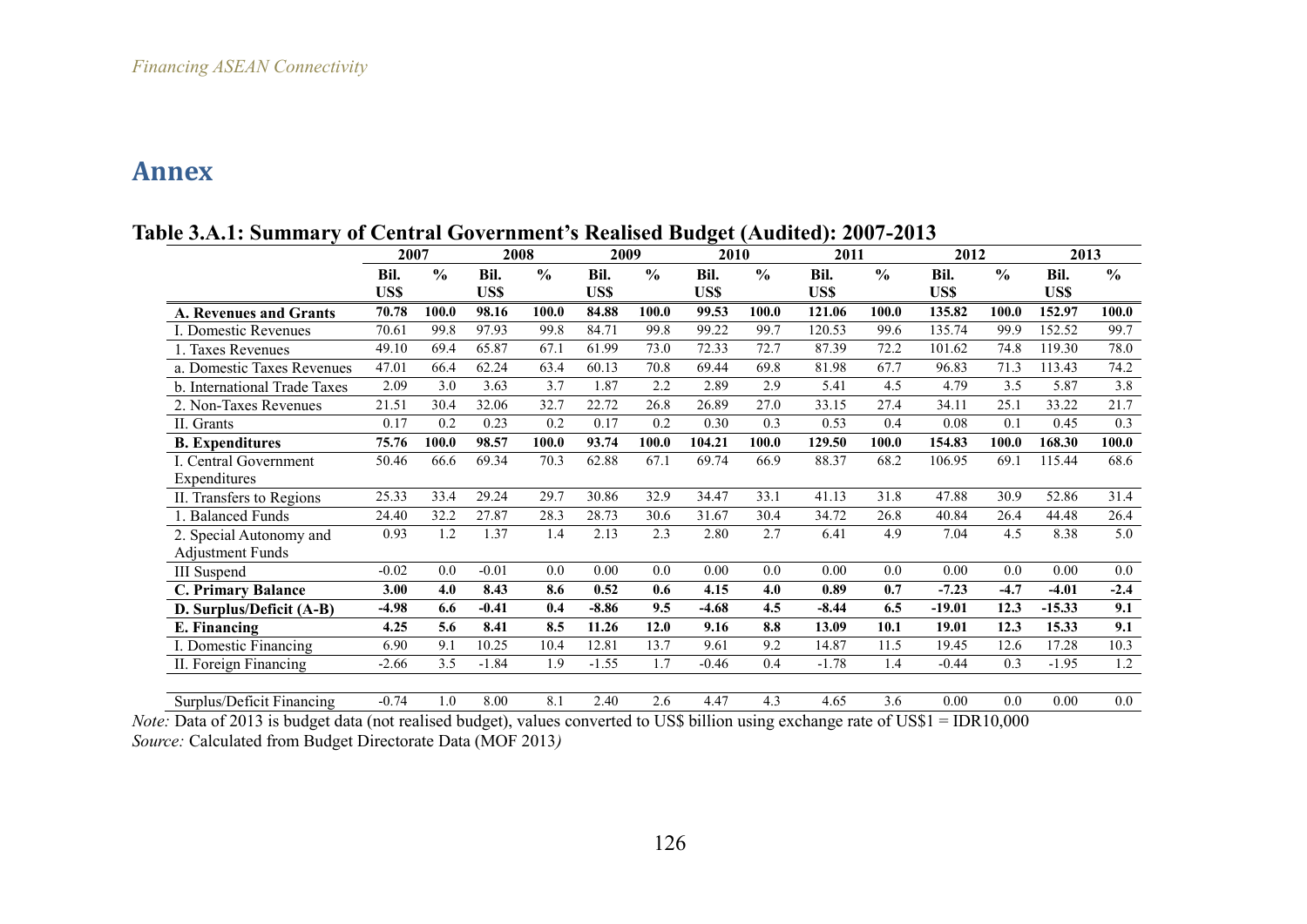## **Annex**

|                               | 2007    |               | 2008    |               | 2009              |               | -<br>2010 |               | 2011    |                  | 2012     |               | 2013     |                  |
|-------------------------------|---------|---------------|---------|---------------|-------------------|---------------|-----------|---------------|---------|------------------|----------|---------------|----------|------------------|
|                               | Bil.    | $\frac{0}{0}$ | Bil.    | $\frac{0}{0}$ | Bil.              | $\frac{0}{0}$ | Bil.      | $\frac{0}{0}$ | Bil.    | $\frac{0}{0}$    | Bil.     | $\frac{0}{0}$ | Bil.     | $\frac{0}{0}$    |
|                               | US\$    |               | US\$    |               | US\$              |               | US\$      |               | US\$    |                  | US\$     |               | US\$     |                  |
| <b>A. Revenues and Grants</b> | 70.78   | 100.0         | 98.16   | 100.0         | 84.88             | 100.0         | 99.53     | 100.0         | 121.06  | 100.0            | 135.82   | 100.0         | 152.97   | 100.0            |
| I. Domestic Revenues          | 70.61   | 99.8          | 97.93   | 99.8          | 84.71             | 99.8          | 99.22     | 99.7          | 120.53  | 99.6             | 135.74   | 99.9          | 152.52   | 99.7             |
| 1. Taxes Revenues             | 49.10   | 69.4          | 65.87   | 67.1          | 61.99             | 73.0          | 72.33     | 72.7          | 87.39   | 72.2             | 101.62   | 74.8          | 119.30   | 78.0             |
| a. Domestic Taxes Revenues    | 47.01   | 66.4          | 62.24   | 63.4          | 60.13             | 70.8          | 69.44     | 69.8          | 81.98   | 67.7             | 96.83    | 71.3          | 113.43   | 74.2             |
| b. International Trade Taxes  | 2.09    | 3.0           | 3.63    | 3.7           | 1.87              | 2.2           | 2.89      | 2.9           | 5.41    | 4.5              | 4.79     | 3.5           | 5.87     | $\overline{3.8}$ |
| 2. Non-Taxes Revenues         | 21.51   | 30.4          | 32.06   | 32.7          | 22.72             | 26.8          | 26.89     | 27.0          | 33.15   | 27.4             | 34.11    | 25.1          | 33.22    | 21.7             |
| II. Grants                    | 0.17    | 0.2           | 0.23    | 0.2           | 0.17              | 0.2           | 0.30      | 0.3           | 0.53    | 0.4              | 0.08     | 0.1           | 0.45     | 0.3              |
| <b>B.</b> Expenditures        | 75.76   | 100.0         | 98.57   | 100.0         | 93.74             | 100.0         | 104.21    | 100.0         | 129.50  | 100.0            | 154.83   | 100.0         | 168.30   | 100.0            |
| I. Central Government         | 50.46   | 66.6          | 69.34   | 70.3          | 62.88             | 67.1          | 69.74     | 66.9          | 88.37   | 68.2             | 106.95   | 69.1          | 115.44   | 68.6             |
| Expenditures                  |         |               |         |               |                   |               |           |               |         |                  |          |               |          |                  |
| II. Transfers to Regions      | 25.33   | 33.4          | 29.24   | 29.7          | 30.86             | 32.9          | 34.47     | 33.1          | 41.13   | 31.8             | 47.88    | 30.9          | 52.86    | 31.4             |
| 1. Balanced Funds             | 24.40   | 32.2          | 27.87   | 28.3          | 28.73             | 30.6          | 31.67     | 30.4          | 34.72   | 26.8             | 40.84    | 26.4          | 44.48    | 26.4             |
| 2. Special Autonomy and       | 0.93    | 1.2           | 1.37    | 1.4           | 2.13              | 2.3           | 2.80      | 2.7           | 6.41    | 4.9              | 7.04     | 4.5           | 8.38     | 5.0              |
| <b>Adjustment Funds</b>       |         |               |         |               |                   |               |           |               |         |                  |          |               |          |                  |
| <b>III</b> Suspend            | $-0.02$ | 0.0           | $-0.01$ | 0.0           | $\overline{0.00}$ | 0.0           | 0.00      | 0.0           | 0.00    | 0.0              | 0.00     | 0.0           | 0.00     | 0.0              |
| <b>C. Primary Balance</b>     | 3.00    | 4.0           | 8.43    | 8.6           | 0.52              | 0.6           | 4.15      | 4.0           | 0.89    | 0.7              | $-7.23$  | $-4.7$        | $-4.01$  | $-2.4$           |
| D. Surplus/Deficit (A-B)      | -4.98   | 6.6           | $-0.41$ | 0.4           | $-8.86$           | 9.5           | $-4.68$   | 4.5           | $-8.44$ | 6.5              | $-19.01$ | 12.3          | $-15.33$ | 9.1              |
| E. Financing                  | 4.25    | 5.6           | 8.41    | 8.5           | 11.26             | 12.0          | 9.16      | 8.8           | 13.09   | 10.1             | 19.01    | 12.3          | 15.33    | 9.1              |
| I. Domestic Financing         | 6.90    | 9.1           | 10.25   | 10.4          | 12.81             | 13.7          | 9.61      | 9.2           | 14.87   | 11.5             | 19.45    | 12.6          | 17.28    | 10.3             |
| II. Foreign Financing         | $-2.66$ | 3.5           | $-1.84$ | 1.9           | $-1.55$           | 1.7           | $-0.46$   | 0.4           | $-1.78$ | 1.4              | $-0.44$  | 0.3           | $-1.95$  | 1.2              |
|                               |         |               |         |               |                   |               |           |               |         |                  |          |               |          |                  |
| Surplus/Deficit Financing     | $-0.74$ | 1.0           | 8.00    | 8.1           | 2.40              | 2.6           | 4.47      | 4.3           | 4.65    | $\overline{3.6}$ | 0.00     | 0.0           | 0.00     | $\overline{0.0}$ |

**Table 3.A.1: Summary of Central Government's Realised Budget (Audited): 2007-2013**

*Note*: Data of 2013 is budget data (not realised budget), values converted to US\$ billion using exchange rate of US\$1 = IDR10,000 *Source:* Calculated from Budget Directorate Data (MOF 2013*)*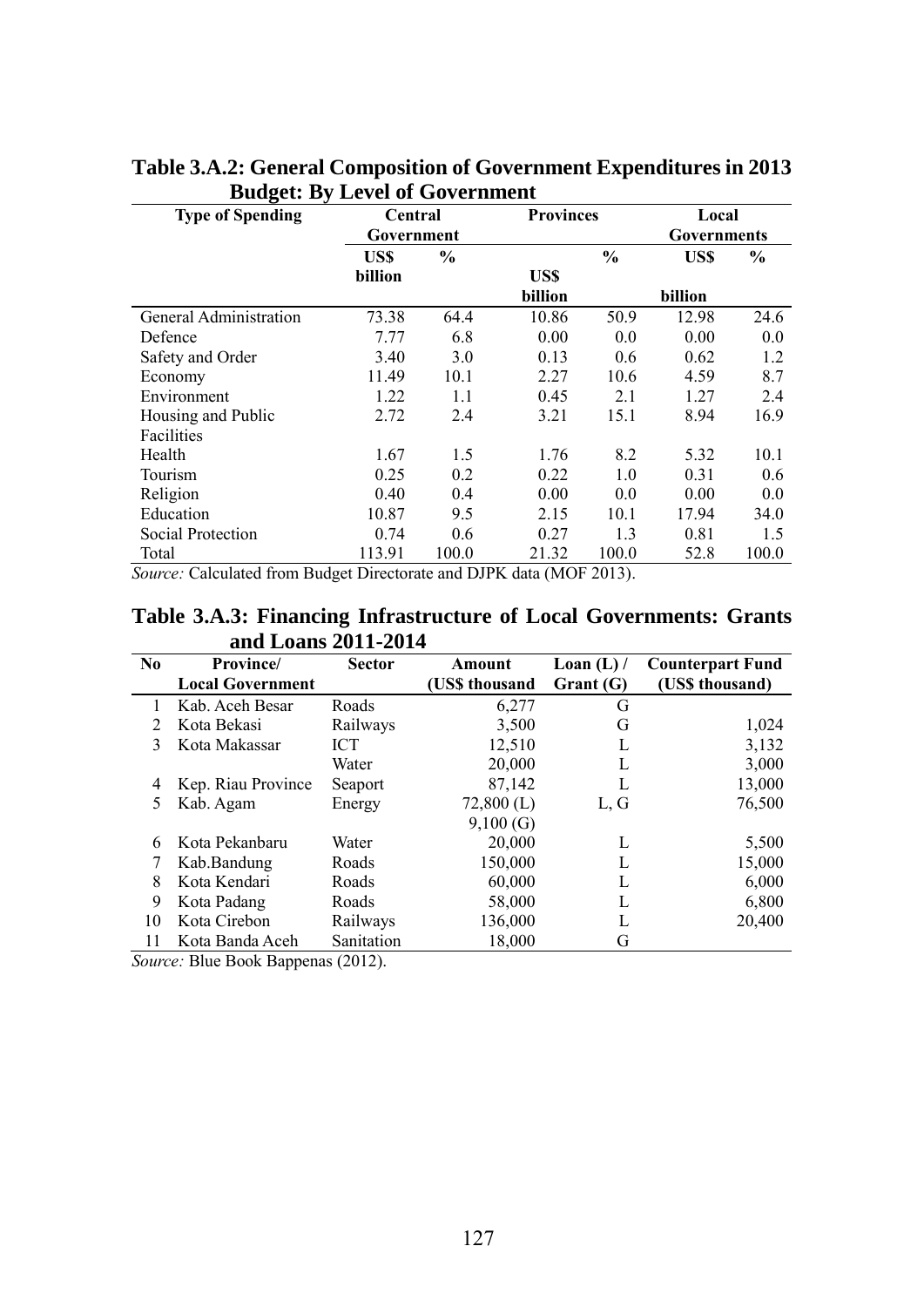| <b>Type of Spending</b> | Central    |               | <b>Provinces</b> |               | Local       |               |
|-------------------------|------------|---------------|------------------|---------------|-------------|---------------|
|                         | Government |               |                  |               | Governments |               |
|                         | US\$       | $\frac{0}{0}$ |                  | $\frac{0}{0}$ | US\$        | $\frac{0}{0}$ |
|                         | billion    |               | US\$             |               |             |               |
|                         |            |               | billion          |               | billion     |               |
| General Administration  | 73.38      | 64.4          | 10.86            | 50.9          | 12.98       | 24.6          |
| Defence                 | 7.77       | 6.8           | 0.00             | 0.0           | 0.00        | 0.0           |
| Safety and Order        | 3.40       | 3.0           | 0.13             | 0.6           | 0.62        | 1.2           |
| Economy                 | 11.49      | 10.1          | 2.27             | 10.6          | 4.59        | 8.7           |
| Environment             | 1.22       | 1.1           | 0.45             | 2.1           | 1.27        | 2.4           |
| Housing and Public      | 2.72       | 2.4           | 3.21             | 15.1          | 8.94        | 16.9          |
| Facilities              |            |               |                  |               |             |               |
| Health                  | 1.67       | 1.5           | 1.76             | 8.2           | 5.32        | 10.1          |
| Tourism                 | 0.25       | 0.2           | 0.22             | 1.0           | 0.31        | 0.6           |
| Religion                | 0.40       | 0.4           | 0.00             | 0.0           | 0.00        | 0.0           |
| Education               | 10.87      | 9.5           | 2.15             | 10.1          | 17.94       | 34.0          |
| Social Protection       | 0.74       | 0.6           | 0.27             | 1.3           | 0.81        | 1.5           |
| Total                   | 113.91     | 100.0         | 21.32            | 100.0         | 52.8        | 100.0         |

#### **Table 3.A.2: General Composition of Government Expenditures in 2013 Budget: By Level of Government**

*Source:* Calculated from Budget Directorate and DJPK data (MOF 2013).

#### **Table 3.A.3: Financing Infrastructure of Local Governments: Grants and Loans 2011-2014**

| N <sub>0</sub> | Province/               | <b>Sector</b> | Amount         | Loan $(L)$ / | <b>Counterpart Fund</b> |
|----------------|-------------------------|---------------|----------------|--------------|-------------------------|
|                | <b>Local Government</b> |               | (US\$ thousand | Grant (G)    | (US\$ thousand)         |
|                | Kab. Aceh Besar         | Roads         | 6,277          | G            |                         |
|                | Kota Bekasi             | Railways      | 3,500          | G            | 1,024                   |
| 3              | Kota Makassar           | <b>ICT</b>    | 12,510         |              | 3,132                   |
|                |                         | Water         | 20,000         |              | 3,000                   |
| 4              | Kep. Riau Province      | Seaport       | 87,142         |              | 13,000                  |
| 5              | Kab. Agam               | Energy        | $72,800$ (L)   | L, G         | 76,500                  |
|                |                         |               | 9,100(G)       |              |                         |
| 6              | Kota Pekanbaru          | Water         | 20,000         | L            | 5,500                   |
|                | Kab.Bandung             | Roads         | 150,000        | L            | 15,000                  |
| 8              | Kota Kendari            | Roads         | 60,000         | L            | 6,000                   |
| 9              | Kota Padang             | Roads         | 58,000         | L            | 6,800                   |
| 10             | Kota Cirebon            | Railways      | 136,000        | L            | 20,400                  |
| 11             | Kota Banda Aceh         | Sanitation    | 18,000         | G            |                         |

*Source:* Blue Book Bappenas (2012).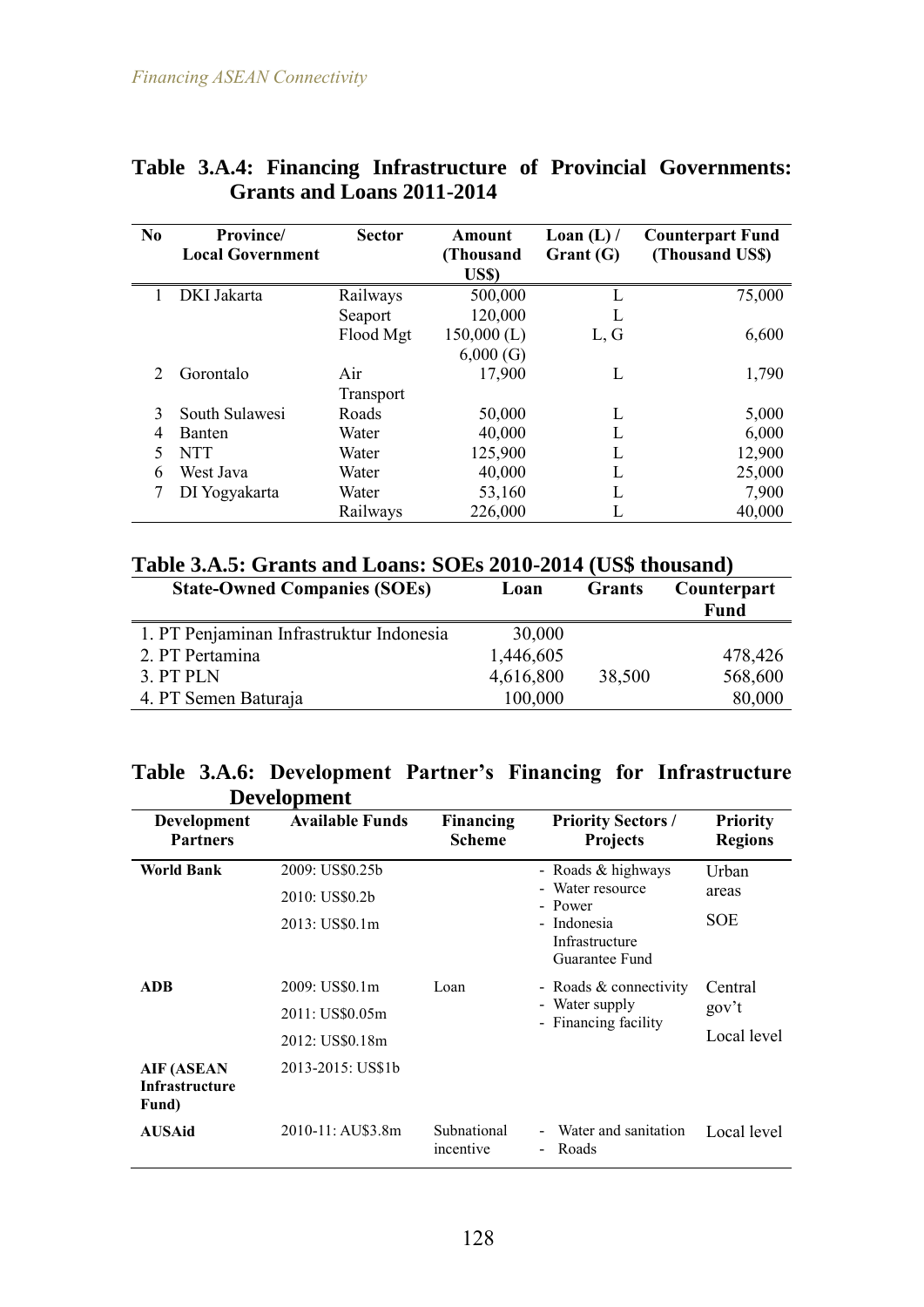| N <sub>0</sub> | <b>Province</b><br><b>Local Government</b> | <b>Sector</b> | Amount<br>(Thousand<br>US\$) | Loan $(L)$ /<br>Grant (G) | <b>Counterpart Fund</b><br>(Thousand US\$) |
|----------------|--------------------------------------------|---------------|------------------------------|---------------------------|--------------------------------------------|
|                | DKI Jakarta                                | Railways      | 500,000                      |                           | 75,000                                     |
|                |                                            | Seaport       | 120,000                      |                           |                                            |
|                |                                            | Flood Mgt     | $150,000$ (L)                | L, G                      | 6,600                                      |
|                |                                            |               | 6,000(G)                     |                           |                                            |
|                | Gorontalo                                  | Air           | 17,900                       | L                         | 1,790                                      |
|                |                                            | Transport     |                              |                           |                                            |
| 3              | South Sulawesi                             | Roads         | 50,000                       | L                         | 5,000                                      |
| 4              | <b>Banten</b>                              | Water         | 40,000                       |                           | 6,000                                      |
| 5              | <b>NTT</b>                                 | Water         | 125,900                      | L                         | 12,900                                     |
| 6              | West Java                                  | Water         | 40,000                       |                           | 25,000                                     |
|                | DI Yogyakarta                              | Water         | 53,160                       | L                         | 7,900                                      |
|                |                                            | Railways      | 226,000                      |                           | 40,000                                     |

#### **Table 3.A.4: Financing Infrastructure of Provincial Governments: Grants and Loans 2011-2014**

### **Table 3.A.5: Grants and Loans: SOEs 2010-2014 (US\$ thousand)**

| <b>State-Owned Companies (SOEs)</b>      | Loan      | <b>Grants</b> | Counterpart<br><b>Fund</b> |
|------------------------------------------|-----------|---------------|----------------------------|
| 1. PT Penjaminan Infrastruktur Indonesia | 30,000    |               |                            |
| 2. PT Pertamina                          | 1,446,605 |               | 478,426                    |
| 3. PT PLN                                | 4,616,800 | 38,500        | 568,600                    |
| 4. PT Semen Baturaja                     | 100,000   |               | 80,000                     |

#### **Table 3.A.6: Development Partner's Financing for Infrastructure Development**

| <b>Development</b><br><b>Partners</b>        | <b>Available Funds</b> | Financing<br><b>Scheme</b> | <b>Priority Sectors /</b><br><b>Projects</b>    | <b>Priority</b><br><b>Regions</b> |
|----------------------------------------------|------------------------|----------------------------|-------------------------------------------------|-----------------------------------|
| <b>World Bank</b>                            | 2009: US\$0.25b        |                            | - Roads $&$ highways                            | Urban                             |
|                                              | 2010: US\$0.2b         |                            | Water resource<br>÷<br>- Power                  | areas                             |
|                                              | 2013: US\$0.1m         |                            | - Indonesia<br>Infrastructure<br>Guarantee Fund | SOE                               |
| ADB                                          | 2009: US\$0.1m         | Loan                       | - Roads & connectivity                          | Central                           |
|                                              | 2011: US\$0.05m        |                            | - Water supply<br>- Financing facility          | gov't                             |
|                                              | 2012: US\$0.18m        |                            |                                                 | Local level                       |
| AIF (ASEAN<br><b>Infrastructure</b><br>Fund) | 2013-2015: US\$1b      |                            |                                                 |                                   |
| AUSAid                                       | 2010-11: AU\$3.8m      | Subnational<br>incentive   | Water and sanitation<br>Roads<br>÷              | Local level                       |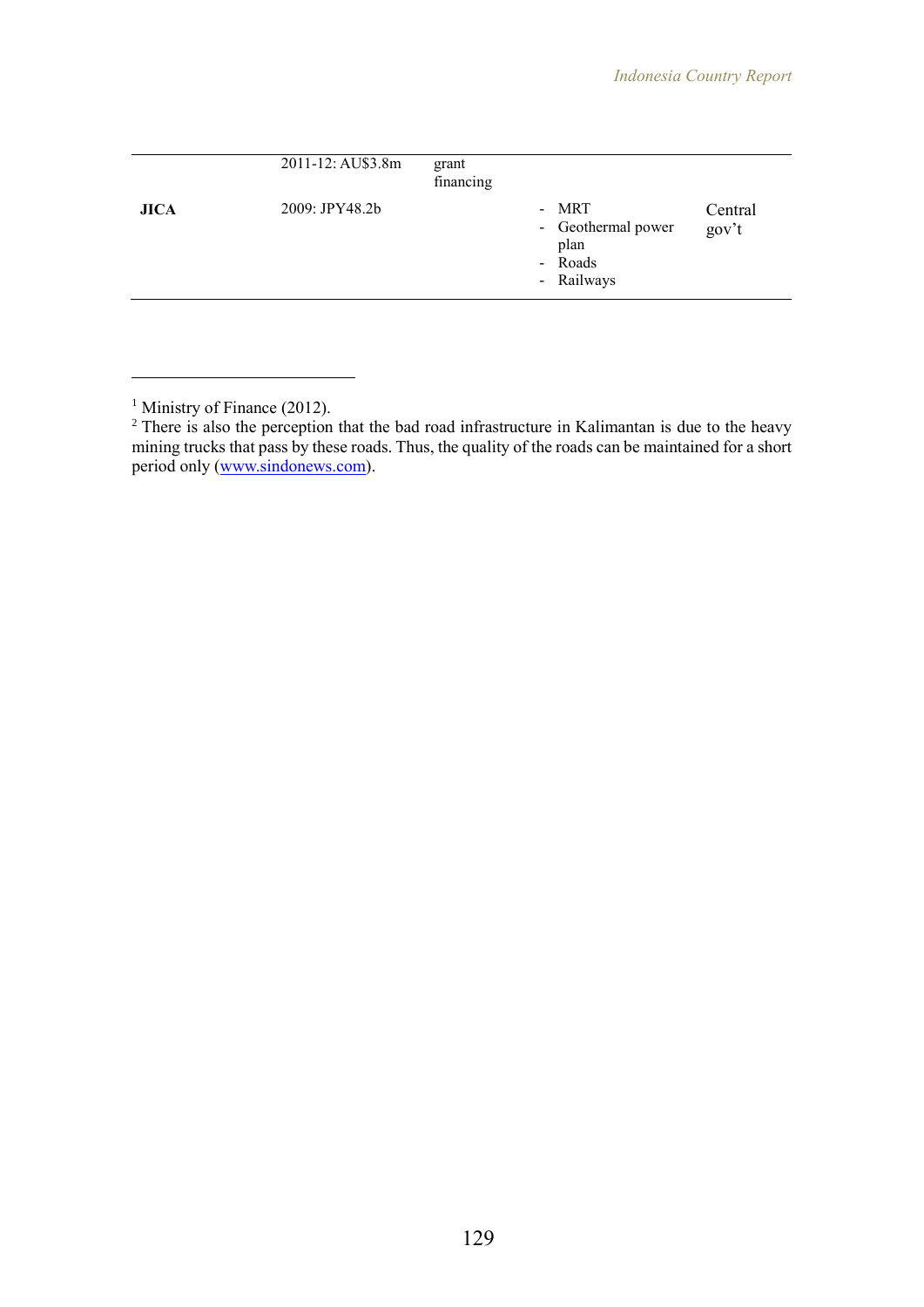| 2009: JPY48.2b<br>- MRT<br><b>JICA</b><br>- Geothermal power<br>plan |         |
|----------------------------------------------------------------------|---------|
| - Roads                                                              | Central |
| - Railways                                                           | gov't   |

 $\overline{a}$ 

<sup>&</sup>lt;sup>1</sup> Ministry of Finance (2012).

 $2$  There is also the perception that the bad road infrastructure in Kalimantan is due to the heavy mining trucks that pass by these roads. Thus, the quality of the roads can be maintained for a short period only [\(www.sindonews.com\)](http://www.sindonews.com/).